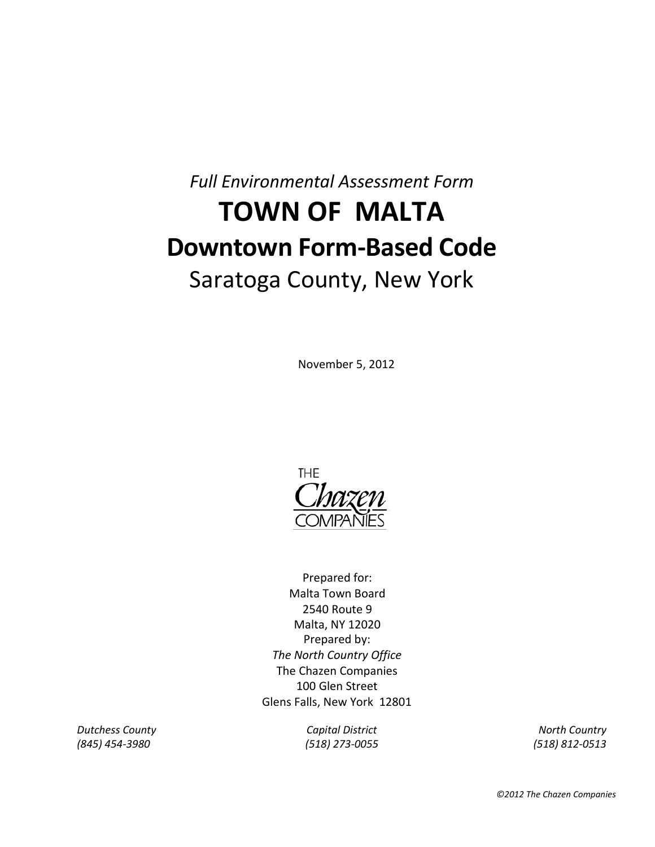*Full Environmental Assessment Form*

# **TOWN OF MALTA Downtown Form-Based Code** Saratoga County, New York

### November 5, 2012



Prepared by: *The North Country Office* The Chazen Companies 100 Glen Street Glens Falls, New York 12801 Prepared for: Malta Town Board 2540 Route 9 Malta, NY 12020

**Dutchess County Capital District Model Assembly Country Country** Capital District **North Country** *(845) 454-3980 (518) 273-0055 (518) 812-0513*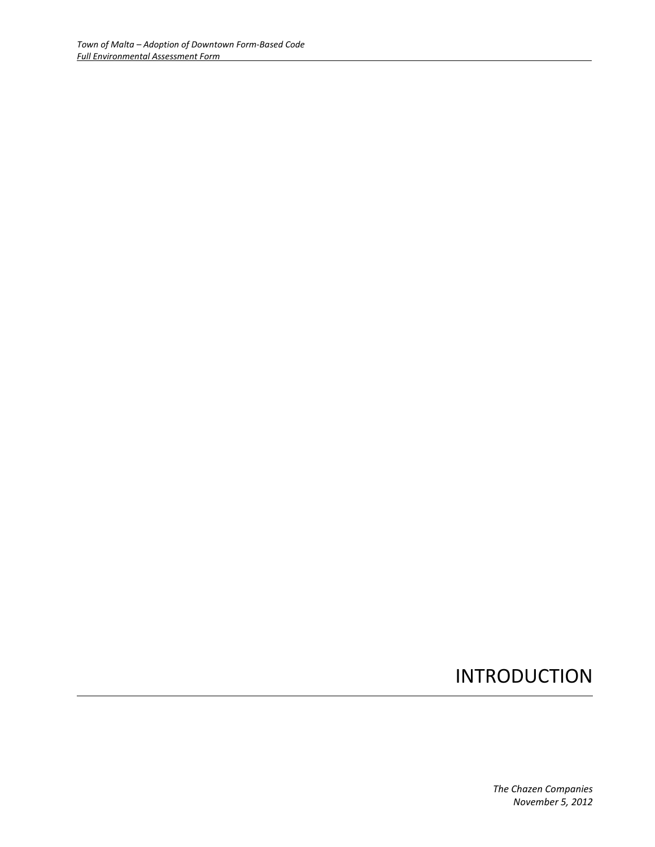### INTRODUCTION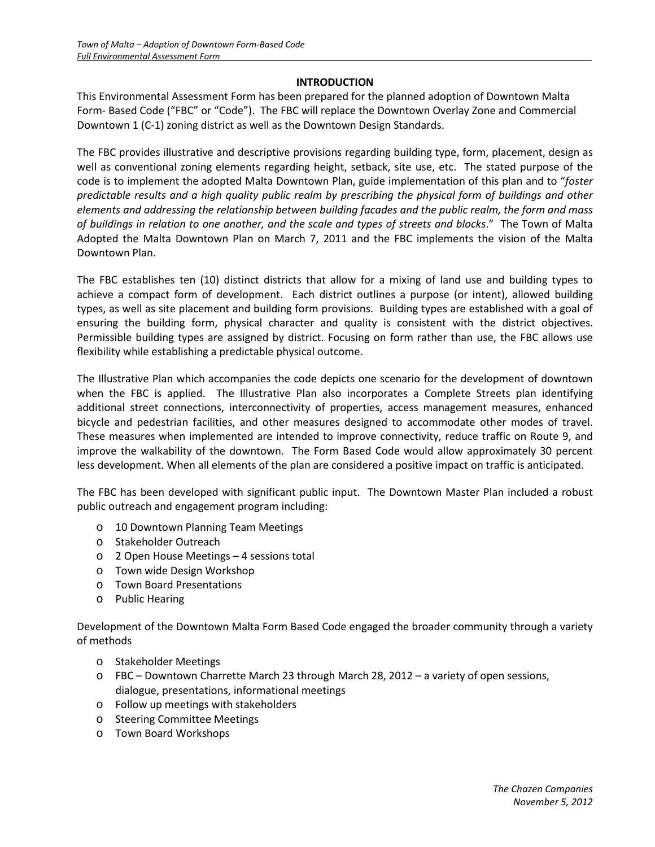#### **INTRODUCTION**

This Environmental Assessment Form has been prepared for the planned adoption of Downtown Malta Form- Based Code ("FBC" or "Code"). The FBC will replace the Downtown Overlay Zone and Commercial Downtown 1 (C-1) zoning district as well as the Downtown Design Standards.

The FBC provides illustrative and descriptive provisions regarding building type, form, placement, design as well as conventional zoning elements regarding height, setback, site use, etc. The stated purpose of the code is to implement the adopted Malta Downtown Plan, guide implementation of this plan and to "*foster predictable results and a high quality public realm by prescribing the physical form of buildings and other elements and addressing the relationship between building facades and the public realm, the form and mass of buildings in relation to one another, and the scale and types of streets and blocks*." The Town of Malta Adopted the Malta Downtown Plan on March 7, 2011 and the FBC implements the vision of the Malta Downtown Plan.

The FBC establishes ten (10) distinct districts that allow for a mixing of land use and building types to achieve a compact form of development. Each district outlines a purpose (or intent), allowed building types, as well as site placement and building form provisions. Building types are established with a goal of ensuring the building form, physical character and quality is consistent with the district objectives. Permissible building types are assigned by district. Focusing on form rather than use, the FBC allows use flexibility while establishing a predictable physical outcome.

The Illustrative Plan which accompanies the code depicts one scenario for the development of downtown when the FBC is applied. The Illustrative Plan also incorporates a Complete Streets plan identifying additional street connections, interconnectivity of properties, access management measures, enhanced bicycle and pedestrian facilities, and other measures designed to accommodate other modes of travel. These measures when implemented are intended to improve connectivity, reduce traffic on Route 9, and improve the walkability of the downtown. The Form Based Code would allow approximately 30 percent less development. When all elements of the plan are considered a positive impact on traffic is anticipated.

The FBC has been developed with significant public input. The Downtown Master Plan included a robust public outreach and engagement program including:

- o 10 Downtown Planning Team Meetings
- o Stakeholder Outreach
- o 2 Open House Meetings 4 sessions total
- o Town wide Design Workshop
- o Town Board Presentations
- o Public Hearing

Development of the Downtown Malta Form Based Code engaged the broader community through a variety of methods

- o Stakeholder Meetings
- o FBC Downtown Charrette March 23 through March 28, 2012 a variety of open sessions, dialogue, presentations, informational meetings
- o Follow up meetings with stakeholders
- o Steering Committee Meetings
- o Town Board Workshops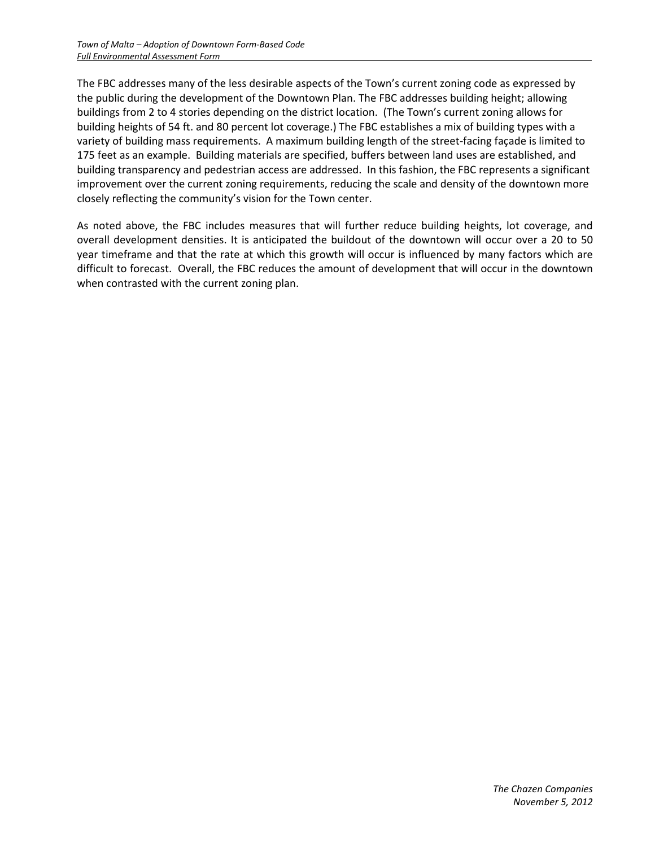The FBC addresses many of the less desirable aspects of the Town's current zoning code as expressed by the public during the development of the Downtown Plan. The FBC addresses building height; allowing buildings from 2 to 4 stories depending on the district location. (The Town's current zoning allows for building heights of 54 ft. and 80 percent lot coverage.) The FBC establishes a mix of building types with a variety of building mass requirements. A maximum building length of the street-facing façade is limited to 175 feet as an example. Building materials are specified, buffers between land uses are established, and building transparency and pedestrian access are addressed. In this fashion, the FBC represents a significant improvement over the current zoning requirements, reducing the scale and density of the downtown more closely reflecting the community's vision for the Town center.

As noted above, the FBC includes measures that will further reduce building heights, lot coverage, and overall development densities. It is anticipated the buildout of the downtown will occur over a 20 to 50 year timeframe and that the rate at which this growth will occur is influenced by many factors which are difficult to forecast. Overall, the FBC reduces the amount of development that will occur in the downtown when contrasted with the current zoning plan.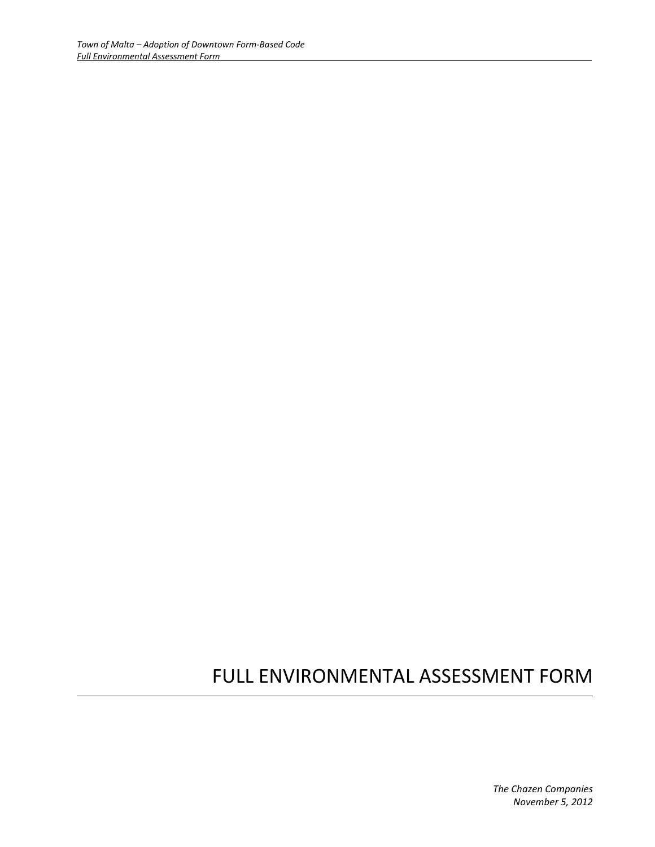## FULL ENVIRONMENTAL ASSESSMENT FORM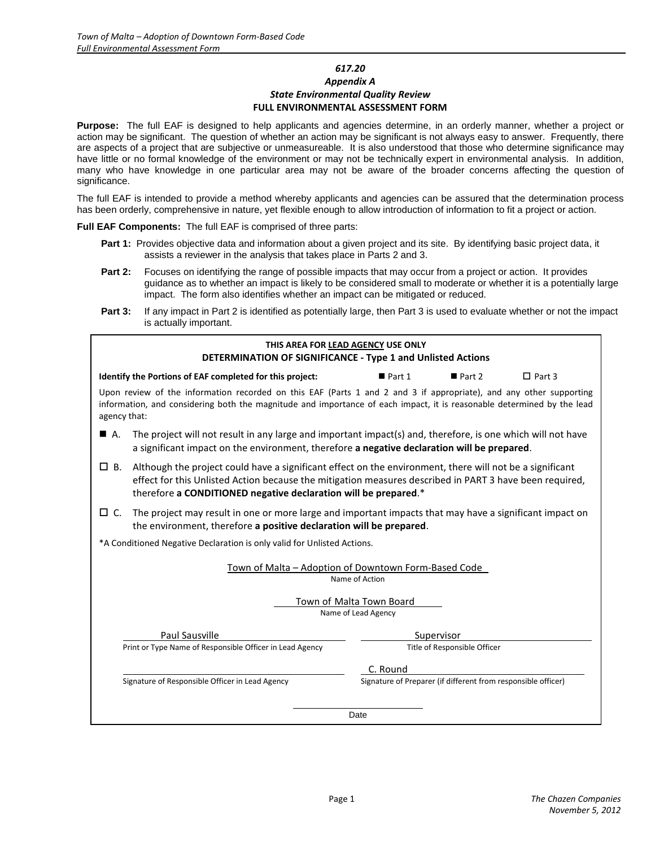#### *617.20*

#### *Appendix A State Environmental Quality Review* **FULL ENVIRONMENTAL ASSESSMENT FORM**

**Purpose:** The full EAF is designed to help applicants and agencies determine, in an orderly manner, whether a project or action may be significant. The question of whether an action may be significant is not always easy to answer. Frequently, there are aspects of a project that are subjective or unmeasureable. It is also understood that those who determine significance may have little or no formal knowledge of the environment or may not be technically expert in environmental analysis. In addition, many who have knowledge in one particular area may not be aware of the broader concerns affecting the question of significance.

The full EAF is intended to provide a method whereby applicants and agencies can be assured that the determination process has been orderly, comprehensive in nature, yet flexible enough to allow introduction of information to fit a project or action.

**Full EAF Components:** The full EAF is comprised of three parts:

- Part 1: Provides objective data and information about a given project and its site. By identifying basic project data, it assists a reviewer in the analysis that takes place in Parts 2 and 3.
- **Part 2:** Focuses on identifying the range of possible impacts that may occur from a project or action. It provides guidance as to whether an impact is likely to be considered small to moderate or whether it is a potentially large impact. The form also identifies whether an impact can be mitigated or reduced.
- **Part 3:** If any impact in Part 2 is identified as potentially large, then Part 3 is used to evaluate whether or not the impact is actually important.

| THIS AREA FOR LEAD AGENCY USE ONLY<br>DETERMINATION OF SIGNIFICANCE - Type 1 and Unlisted Actions                                                                                                                                                            |                                                                                                                                                                                                                                                                                        |                                                               |                              |               |  |  |
|--------------------------------------------------------------------------------------------------------------------------------------------------------------------------------------------------------------------------------------------------------------|----------------------------------------------------------------------------------------------------------------------------------------------------------------------------------------------------------------------------------------------------------------------------------------|---------------------------------------------------------------|------------------------------|---------------|--|--|
|                                                                                                                                                                                                                                                              | Identify the Portions of EAF completed for this project:                                                                                                                                                                                                                               | $\blacksquare$ Part 1                                         | Part 2                       | $\Box$ Part 3 |  |  |
| Upon review of the information recorded on this EAF (Parts 1 and 2 and 3 if appropriate), and any other supporting<br>information, and considering both the magnitude and importance of each impact, it is reasonable determined by the lead<br>agency that: |                                                                                                                                                                                                                                                                                        |                                                               |                              |               |  |  |
| $\blacksquare$ A.                                                                                                                                                                                                                                            | The project will not result in any large and important impact(s) and, therefore, is one which will not have<br>a significant impact on the environment, therefore a negative declaration will be prepared.                                                                             |                                                               |                              |               |  |  |
| □В.                                                                                                                                                                                                                                                          | Although the project could have a significant effect on the environment, there will not be a significant<br>effect for this Unlisted Action because the mitigation measures described in PART 3 have been required,<br>therefore a CONDITIONED negative declaration will be prepared.* |                                                               |                              |               |  |  |
| □ С.                                                                                                                                                                                                                                                         | The project may result in one or more large and important impacts that may have a significant impact on<br>the environment, therefore a positive declaration will be prepared.                                                                                                         |                                                               |                              |               |  |  |
|                                                                                                                                                                                                                                                              | *A Conditioned Negative Declaration is only valid for Unlisted Actions.                                                                                                                                                                                                                |                                                               |                              |               |  |  |
|                                                                                                                                                                                                                                                              | Town of Malta - Adoption of Downtown Form-Based Code                                                                                                                                                                                                                                   | Name of Action                                                |                              |               |  |  |
|                                                                                                                                                                                                                                                              |                                                                                                                                                                                                                                                                                        | Town of Malta Town Board<br>Name of Lead Agency               |                              |               |  |  |
|                                                                                                                                                                                                                                                              | Paul Sausville                                                                                                                                                                                                                                                                         |                                                               | Supervisor                   |               |  |  |
|                                                                                                                                                                                                                                                              | Print or Type Name of Responsible Officer in Lead Agency                                                                                                                                                                                                                               |                                                               | Title of Responsible Officer |               |  |  |
|                                                                                                                                                                                                                                                              |                                                                                                                                                                                                                                                                                        | C. Round                                                      |                              |               |  |  |
|                                                                                                                                                                                                                                                              | Signature of Responsible Officer in Lead Agency                                                                                                                                                                                                                                        | Signature of Preparer (if different from responsible officer) |                              |               |  |  |
|                                                                                                                                                                                                                                                              | Date                                                                                                                                                                                                                                                                                   |                                                               |                              |               |  |  |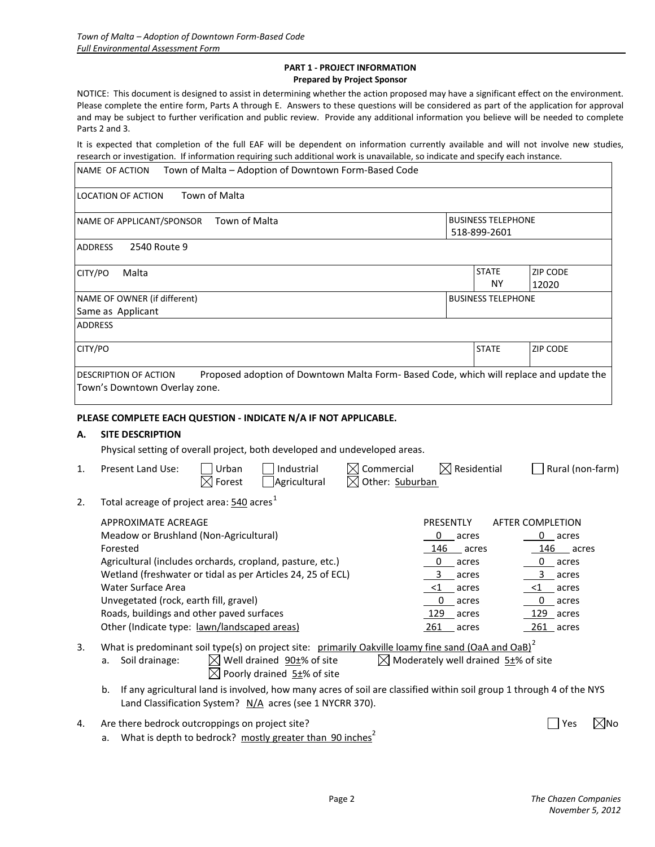#### <span id="page-6-0"></span>**PART 1 - PROJECT INFORMATION Prepared by Project Sponsor**

NOTICE: This document is designed to assist in determining whether the action proposed may have a significant effect on the environment. Please complete the entire form, Parts A through E. Answers to these questions will be considered as part of the application for approval and may be subject to further verification and public review. Provide any additional information you believe will be needed to complete Parts 2 and 3.

It is expected that completion of the full EAF will be dependent on information currently available and will not involve new studies, research or investigation. If information requiring such additional work is unavailable, so indicate and specify each instance.

|          | Town of Malta - Adoption of Downtown Form-Based Code<br>NAME OF ACTION                                                                                                                                                                                                                                                                                                    |                                                                                                                               |                                           |                                                                                                                               |                |
|----------|---------------------------------------------------------------------------------------------------------------------------------------------------------------------------------------------------------------------------------------------------------------------------------------------------------------------------------------------------------------------------|-------------------------------------------------------------------------------------------------------------------------------|-------------------------------------------|-------------------------------------------------------------------------------------------------------------------------------|----------------|
|          | Town of Malta<br><b>LOCATION OF ACTION</b>                                                                                                                                                                                                                                                                                                                                |                                                                                                                               |                                           |                                                                                                                               |                |
|          | NAME OF APPLICANT/SPONSOR<br>Town of Malta                                                                                                                                                                                                                                                                                                                                |                                                                                                                               | <b>BUSINESS TELEPHONE</b><br>518-899-2601 |                                                                                                                               |                |
|          | 2540 Route 9<br><b>ADDRESS</b>                                                                                                                                                                                                                                                                                                                                            |                                                                                                                               |                                           |                                                                                                                               |                |
| CITY/PO  | Malta                                                                                                                                                                                                                                                                                                                                                                     |                                                                                                                               | <b>STATE</b><br><b>NY</b>                 | <b>ZIP CODE</b><br>12020                                                                                                      |                |
|          | NAME OF OWNER (if different)<br>Same as Applicant                                                                                                                                                                                                                                                                                                                         |                                                                                                                               | <b>BUSINESS TELEPHONE</b>                 |                                                                                                                               |                |
|          | <b>ADDRESS</b>                                                                                                                                                                                                                                                                                                                                                            |                                                                                                                               |                                           |                                                                                                                               |                |
| CITY/PO  |                                                                                                                                                                                                                                                                                                                                                                           |                                                                                                                               | <b>STATE</b>                              | <b>ZIP CODE</b>                                                                                                               |                |
|          | Proposed adoption of Downtown Malta Form- Based Code, which will replace and update the<br>DESCRIPTION OF ACTION<br>Town's Downtown Overlay zone.                                                                                                                                                                                                                         |                                                                                                                               |                                           |                                                                                                                               |                |
| А.<br>1. | <b>SITE DESCRIPTION</b><br>Physical setting of overall project, both developed and undeveloped areas.<br>Industrial<br>$\boxtimes$ Commercial<br>Present Land Use:<br>Urban<br>Agricultural<br>$\boxtimes$ Other: Suburban<br>$\boxtimes$ Forest                                                                                                                          | $\boxtimes$ Residential                                                                                                       |                                           | Rural (non-farm)                                                                                                              |                |
| 2.       | Total acreage of project area: 540 acres <sup>1</sup>                                                                                                                                                                                                                                                                                                                     |                                                                                                                               |                                           |                                                                                                                               |                |
|          | <b>APPROXIMATE ACREAGE</b><br>Meadow or Brushland (Non-Agricultural)<br>Forested<br>Agricultural (includes orchards, cropland, pasture, etc.)<br>Wetland (freshwater or tidal as per Articles 24, 25 of ECL)<br>Water Surface Area<br>Unvegetated (rock, earth fill, gravel)<br>Roads, buildings and other paved surfaces<br>Other (Indicate type: lawn/landscaped areas) | PRESENTLY<br>0<br>acres<br>146<br>0<br>$\_$ acres<br>3<br>acres<br>$<$ 1<br>acres<br>0<br>acres<br>$129$ acres<br>$261$ acres | acres                                     | AFTER COMPLETION<br>0 acres<br>$146$ acres<br>0 acres<br>3 acres<br>$\leq 1$ acres<br>$0$ acres<br>$129$ acres<br>$261$ acres |                |
| 3.       | What is predominant soil type(s) on project site: primarily Oakville loamy fine sand (OaA and OaB) <sup>2</sup><br>$\boxtimes$ Well drained $90\pm\%$ of site<br>$\boxtimes$ Moderately well drained 5 <sup>+</sup> % of site<br>Soil drainage:<br>а.<br>$\boxtimes$ Poorly drained $5\pm\%$ of site                                                                      |                                                                                                                               |                                           |                                                                                                                               |                |
|          | If any agricultural land is involved, how many acres of soil are classified within soil group 1 through 4 of the NYS<br>b.<br>Land Classification System? N/A acres (see 1 NYCRR 370).                                                                                                                                                                                    |                                                                                                                               |                                           |                                                                                                                               |                |
| 4.       | Are there bedrock outcroppings on project site?<br>What is depth to bedrock? mostly greater than 90 inches <sup>2</sup><br>а.                                                                                                                                                                                                                                             |                                                                                                                               |                                           | $\blacksquare$ Yes                                                                                                            | $\boxtimes$ No |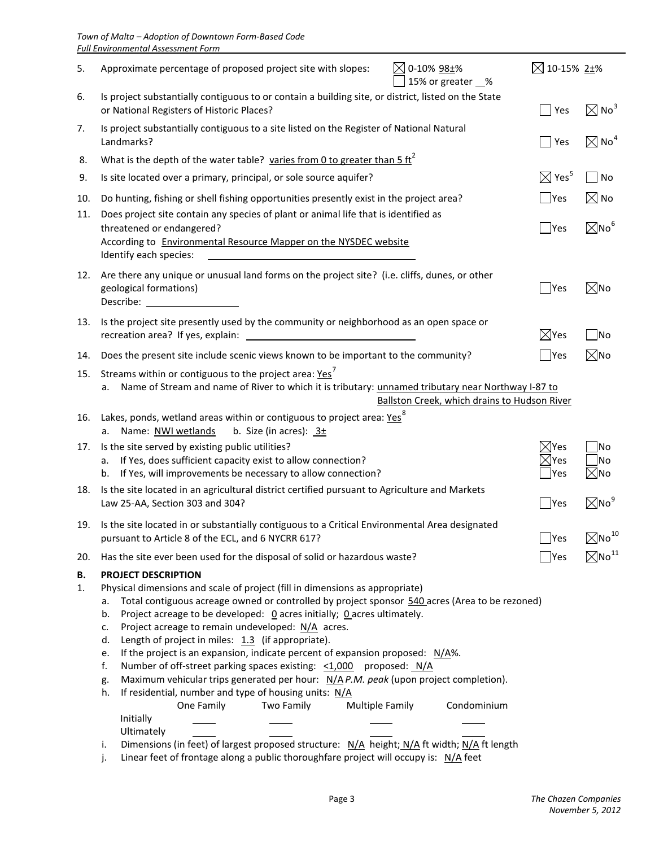| 5.       | $\boxtimes$ 0-10% 98±%<br>Approximate percentage of proposed project site with slopes:<br>15% or greater _%                                                                                                                                                                                                                                                                                                                                                                                                                                                                                                                                                                                                                                                                                                                                                                                                                                                                                                                                                               | $\boxtimes$ 10-15% 2±%  |                             |
|----------|---------------------------------------------------------------------------------------------------------------------------------------------------------------------------------------------------------------------------------------------------------------------------------------------------------------------------------------------------------------------------------------------------------------------------------------------------------------------------------------------------------------------------------------------------------------------------------------------------------------------------------------------------------------------------------------------------------------------------------------------------------------------------------------------------------------------------------------------------------------------------------------------------------------------------------------------------------------------------------------------------------------------------------------------------------------------------|-------------------------|-----------------------------|
| 6.       | Is project substantially contiguous to or contain a building site, or district, listed on the State<br>or National Registers of Historic Places?                                                                                                                                                                                                                                                                                                                                                                                                                                                                                                                                                                                                                                                                                                                                                                                                                                                                                                                          | Yes                     | $\boxtimes$ No $^3$         |
| 7.       | Is project substantially contiguous to a site listed on the Register of National Natural<br>Landmarks?                                                                                                                                                                                                                                                                                                                                                                                                                                                                                                                                                                                                                                                                                                                                                                                                                                                                                                                                                                    | Yes                     | $\boxtimes$ No <sup>4</sup> |
| 8.       | What is the depth of the water table? varies from 0 to greater than 5 $\text{ft}^2$                                                                                                                                                                                                                                                                                                                                                                                                                                                                                                                                                                                                                                                                                                                                                                                                                                                                                                                                                                                       |                         |                             |
| 9.       | Is site located over a primary, principal, or sole source aquifer?                                                                                                                                                                                                                                                                                                                                                                                                                                                                                                                                                                                                                                                                                                                                                                                                                                                                                                                                                                                                        | $\boxtimes$ Yes $^5$    | No                          |
| 10.      | Do hunting, fishing or shell fishing opportunities presently exist in the project area?                                                                                                                                                                                                                                                                                                                                                                                                                                                                                                                                                                                                                                                                                                                                                                                                                                                                                                                                                                                   | $\blacksquare$ Yes      | $\boxtimes$ No              |
| 11.      | Does project site contain any species of plant or animal life that is identified as<br>threatened or endangered?<br>According to Environmental Resource Mapper on the NYSDEC website<br>Identify each species:                                                                                                                                                                                                                                                                                                                                                                                                                                                                                                                                                                                                                                                                                                                                                                                                                                                            | $\blacksquare$ Yes      | $\boxtimes$ No <sup>6</sup> |
| 12.      | Are there any unique or unusual land forms on the project site? (i.e. cliffs, dunes, or other<br>geological formations)<br>Describe:                                                                                                                                                                                                                                                                                                                                                                                                                                                                                                                                                                                                                                                                                                                                                                                                                                                                                                                                      | $\blacksquare$ Yes      | $\boxtimes$ No              |
| 13.      | Is the project site presently used by the community or neighborhood as an open space or<br>recreation area? If yes, explain:                                                                                                                                                                                                                                                                                                                                                                                                                                                                                                                                                                                                                                                                                                                                                                                                                                                                                                                                              | $\boxtimes$ Yes         | $\overline{\phantom{1}}$ No |
| 14.      | Does the present site include scenic views known to be important to the community?                                                                                                                                                                                                                                                                                                                                                                                                                                                                                                                                                                                                                                                                                                                                                                                                                                                                                                                                                                                        | Yes                     | $\boxtimes$ No              |
| 15.      | Streams within or contiguous to the project area: Yes <sup>7</sup><br>Name of Stream and name of River to which it is tributary: unnamed tributary near Northway I-87 to<br>а.<br>Ballston Creek, which drains to Hudson River                                                                                                                                                                                                                                                                                                                                                                                                                                                                                                                                                                                                                                                                                                                                                                                                                                            |                         |                             |
| 16.      | Lakes, ponds, wetland areas within or contiguous to project area: Yes <sup>8</sup><br>b. Size (in acres): $3\pm$<br>Name: NWI wetlands<br>a.                                                                                                                                                                                                                                                                                                                                                                                                                                                                                                                                                                                                                                                                                                                                                                                                                                                                                                                              |                         |                             |
| 17.      | Is the site served by existing public utilities?                                                                                                                                                                                                                                                                                                                                                                                                                                                                                                                                                                                                                                                                                                                                                                                                                                                                                                                                                                                                                          | $\boxtimes$ Yes         | No                          |
|          | If Yes, does sufficient capacity exist to allow connection?<br>a.<br>If Yes, will improvements be necessary to allow connection?<br>b.                                                                                                                                                                                                                                                                                                                                                                                                                                                                                                                                                                                                                                                                                                                                                                                                                                                                                                                                    | $\boxtimes$ Yes<br> Yes | √No<br>$\boxtimes$ No       |
| 18.      | Is the site located in an agricultural district certified pursuant to Agriculture and Markets<br>Law 25-AA, Section 303 and 304?                                                                                                                                                                                                                                                                                                                                                                                                                                                                                                                                                                                                                                                                                                                                                                                                                                                                                                                                          | Yes                     | $\boxtimes$ No $^9$         |
| 19.      | Is the site located in or substantially contiguous to a Critical Environmental Area designated<br>pursuant to Article 8 of the ECL, and 6 NYCRR 617?                                                                                                                                                                                                                                                                                                                                                                                                                                                                                                                                                                                                                                                                                                                                                                                                                                                                                                                      | $\Box$ Yes              | $\boxtimes$ No $^{10}$      |
| 20.      | Has the site ever been used for the disposal of solid or hazardous waste?                                                                                                                                                                                                                                                                                                                                                                                                                                                                                                                                                                                                                                                                                                                                                                                                                                                                                                                                                                                                 | $\blacksquare$ Yes      | $\boxtimes$ No $^{11}$      |
| В.<br>1. | <b>PROJECT DESCRIPTION</b><br>Physical dimensions and scale of project (fill in dimensions as appropriate)<br>Total contiguous acreage owned or controlled by project sponsor 540 acres (Area to be rezoned)<br>а.<br>Project acreage to be developed: 0 acres initially; 0 acres ultimately.<br>b.<br>Project acreage to remain undeveloped: N/A acres.<br>c.<br>Length of project in miles: $1.3$ (if appropriate).<br>d.<br>If the project is an expansion, indicate percent of expansion proposed: $N/A$ %.<br>e.<br>f.<br>Number of off-street parking spaces existing: $\leq 1,000$ proposed: N/A<br>Maximum vehicular trips generated per hour: $N/A$ P.M. peak (upon project completion).<br>g.<br>h.<br>If residential, number and type of housing units: N/A<br>Two Family<br><b>Multiple Family</b><br>Condominium<br>One Family<br>Initially<br>Ultimately<br>Dimensions (in feet) of largest proposed structure: N/A height; N/A ft width; N/A ft length<br>i.<br>Linear feet of frontage along a public thoroughfare project will occupy is: N/A feet<br>j. |                         |                             |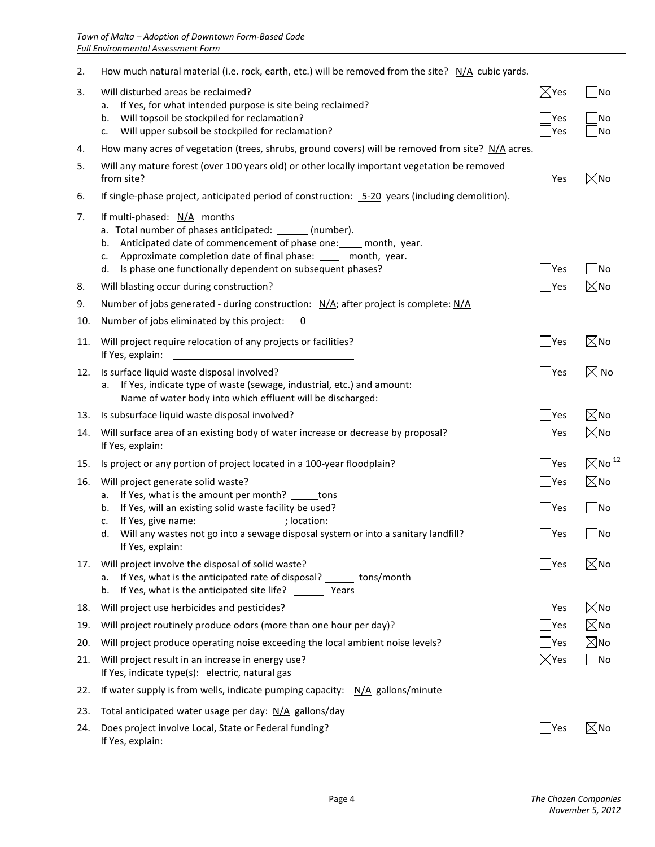| 2.  | How much natural material (i.e. rock, earth, etc.) will be removed from the site? N/A cubic yards.                                                                                                                                                                                                            |                              |                              |
|-----|---------------------------------------------------------------------------------------------------------------------------------------------------------------------------------------------------------------------------------------------------------------------------------------------------------------|------------------------------|------------------------------|
| 3.  | Will disturbed areas be reclaimed?<br>If Yes, for what intended purpose is site being reclaimed? _____________________<br>a.                                                                                                                                                                                  | $\boxtimes$ Yes              | No                           |
|     | Will topsoil be stockpiled for reclamation?<br>b.<br>Will upper subsoil be stockpiled for reclamation?<br>c.                                                                                                                                                                                                  | Yes<br>$\gamma$ es           | ้ No<br>No                   |
| 4.  | How many acres of vegetation (trees, shrubs, ground covers) will be removed from site? N/A acres.                                                                                                                                                                                                             |                              |                              |
| 5.  | Will any mature forest (over 100 years old) or other locally important vegetation be removed<br>from site?                                                                                                                                                                                                    | $\blacksquare$ Yes           | $\boxtimes$ No               |
| 6.  | If single-phase project, anticipated period of construction: 5-20 years (including demolition).                                                                                                                                                                                                               |                              |                              |
| 7.  | If multi-phased: $N/A$ months<br>a. Total number of phases anticipated: ______ (number).<br>Anticipated date of commencement of phase one: ____ month, year.<br>b.<br>Approximate completion date of final phase: _____ month, year.<br>c.<br>Is phase one functionally dependent on subsequent phases?<br>d. | Yes                          | No                           |
| 8.  | Will blasting occur during construction?                                                                                                                                                                                                                                                                      | Yes                          | $\boxtimes$ No               |
| 9.  | Number of jobs generated - during construction: N/A; after project is complete: N/A                                                                                                                                                                                                                           |                              |                              |
| 10. | Number of jobs eliminated by this project: 0                                                                                                                                                                                                                                                                  |                              |                              |
| 11. | Will project require relocation of any projects or facilities?<br>If Yes, explain:                                                                                                                                                                                                                            | Yes                          | $\boxtimes$ No               |
| 12. | Is surface liquid waste disposal involved?<br>a. If Yes, indicate type of waste (sewage, industrial, etc.) and amount: __________________________<br>Name of water body into which effluent will be discharged: _____________________                                                                         | Yes                          | $\boxtimes$ No               |
| 13. | Is subsurface liquid waste disposal involved?                                                                                                                                                                                                                                                                 | $\Box$ Yes                   | $\boxtimes$ No               |
| 14. | Will surface area of an existing body of water increase or decrease by proposal?<br>If Yes, explain:                                                                                                                                                                                                          | $\Box$ Yes                   | $\boxtimes$ No               |
| 15. | Is project or any portion of project located in a 100-year floodplain?                                                                                                                                                                                                                                        | Yes                          | $\boxtimes$ No <sup>12</sup> |
| 16. | Will project generate solid waste?                                                                                                                                                                                                                                                                            | ∐Yes                         | $\boxtimes$ No               |
|     | If Yes, what is the amount per month? ______ tons<br>а.<br>If Yes, will an existing solid waste facility be used?<br>b.                                                                                                                                                                                       | │  Yes                       | N <sub>O</sub>               |
|     | If Yes, give name: ________________; location: _<br>c.                                                                                                                                                                                                                                                        |                              |                              |
|     | Will any wastes not go into a sewage disposal system or into a sanitary landfill?<br>d.<br>If Yes, explain:                                                                                                                                                                                                   | $\overline{\phantom{a}}$ Yes | No                           |
| 17. | Will project involve the disposal of solid waste?<br>If Yes, what is the anticipated rate of disposal? _______ tons/month<br>a.<br>If Yes, what is the anticipated site life? Years<br>b.                                                                                                                     | Yes                          | $\boxtimes$ No               |
| 18. | Will project use herbicides and pesticides?                                                                                                                                                                                                                                                                   | $\bigcap$ Yes                | $\boxtimes$ No               |
| 19. | Will project routinely produce odors (more than one hour per day)?                                                                                                                                                                                                                                            | $\blacksquare$ Yes           | $\boxtimes$ No               |
| 20. | Will project produce operating noise exceeding the local ambient noise levels?                                                                                                                                                                                                                                | Yes                          | $\boxtimes$ No               |
| 21. | Will project result in an increase in energy use?<br>If Yes, indicate type(s): electric, natural gas                                                                                                                                                                                                          | $\boxtimes$ Yes              | N <sub>O</sub>               |
| 22. | If water supply is from wells, indicate pumping capacity: $N/A$ gallons/minute                                                                                                                                                                                                                                |                              |                              |
| 23. | Total anticipated water usage per day: N/A gallons/day                                                                                                                                                                                                                                                        |                              |                              |
| 24. | Does project involve Local, State or Federal funding?<br>If Yes, explain:                                                                                                                                                                                                                                     | Yes                          | $\boxtimes$ No               |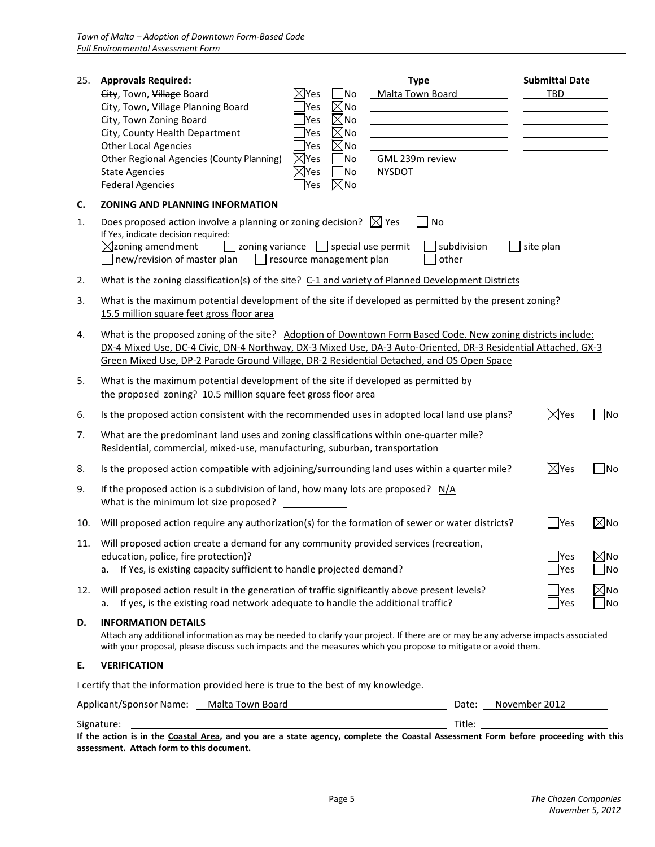| 25. | <b>Approvals Required:</b><br><b>Type</b><br>City, Town, Village Board<br>$\boxtimes$ Yes<br>Malta Town Board<br><b>No</b><br>$\boxtimes$ No<br>City, Town, Village Planning Board<br>Yes<br>$\boxtimes$ No<br>City, Town Zoning Board<br>Yes                                                                                 |             |               | <b>Submittal Date</b><br>TBD |                                     |
|-----|-------------------------------------------------------------------------------------------------------------------------------------------------------------------------------------------------------------------------------------------------------------------------------------------------------------------------------|-------------|---------------|------------------------------|-------------------------------------|
|     | $\boxtimes$ No<br>City, County Health Department<br>Yes<br>$\boxtimes$ No<br><b>Other Local Agencies</b><br>Yes<br>No<br>Other Regional Agencies (County Planning)<br>$\boxtimes$ Yes<br>GML 239m review<br>No.<br><b>State Agencies</b><br>$\times$ Yes<br><b>NYSDOT</b><br>$\boxtimes$ No<br><b>Federal Agencies</b><br>Yes |             |               |                              |                                     |
| C.  | <b>ZONING AND PLANNING INFORMATION</b>                                                                                                                                                                                                                                                                                        |             |               |                              |                                     |
| 1.  | Does proposed action involve a planning or zoning decision? $\boxtimes$ Yes<br>No<br>If Yes, indicate decision required:<br>$\boxtimes$ zoning amendment<br>$\Box$ zoning variance $\Box$ special use permit<br>new/revision of master plan<br>$\Box$ resource management plan<br>other                                       | subdivision |               | site plan                    |                                     |
| 2.  | What is the zoning classification(s) of the site? C-1 and variety of Planned Development Districts                                                                                                                                                                                                                            |             |               |                              |                                     |
| 3.  | What is the maximum potential development of the site if developed as permitted by the present zoning?<br>15.5 million square feet gross floor area                                                                                                                                                                           |             |               |                              |                                     |
| 4.  | What is the proposed zoning of the site? Adoption of Downtown Form Based Code. New zoning districts include:<br>DX-4 Mixed Use, DC-4 Civic, DN-4 Northway, DX-3 Mixed Use, DA-3 Auto-Oriented, DR-3 Residential Attached, GX-3<br>Green Mixed Use, DP-2 Parade Ground Village, DR-2 Residential Detached, and OS Open Space   |             |               |                              |                                     |
| 5.  | What is the maximum potential development of the site if developed as permitted by<br>the proposed zoning? 10.5 million square feet gross floor area                                                                                                                                                                          |             |               |                              |                                     |
| 6.  | Is the proposed action consistent with the recommended uses in adopted local land use plans?                                                                                                                                                                                                                                  |             |               | $\boxtimes$ Yes              | No                                  |
| 7.  | What are the predominant land uses and zoning classifications within one-quarter mile?<br>Residential, commercial, mixed-use, manufacturing, suburban, transportation                                                                                                                                                         |             |               |                              |                                     |
| 8.  | Is the proposed action compatible with adjoining/surrounding land uses within a quarter mile?                                                                                                                                                                                                                                 |             |               | $\boxtimes$ Yes              | No                                  |
| 9.  | If the proposed action is a subdivision of land, how many lots are proposed? $N/A$<br>What is the minimum lot size proposed?                                                                                                                                                                                                  |             |               |                              |                                     |
| 10. | Will proposed action require any authorization(s) for the formation of sewer or water districts?                                                                                                                                                                                                                              |             |               | Yes                          | $\boxtimes$ No                      |
|     | 11. Will proposed action create a demand for any community provided services (recreation,<br>education, police, fire protection)?<br>If Yes, is existing capacity sufficient to handle projected demand?<br>а.                                                                                                                |             |               | Yes<br>Yes                   | $\boxtimes$ No<br>No                |
| 12. | Will proposed action result in the generation of traffic significantly above present levels?<br>If yes, is the existing road network adequate to handle the additional traffic?<br>а.                                                                                                                                         |             |               | Yes<br> Yes                  | $\boxtimes$ No<br>$\blacksquare$ No |
| D.  | <b>INFORMATION DETAILS</b><br>Attach any additional information as may be needed to clarify your project. If there are or may be any adverse impacts associated<br>with your proposal, please discuss such impacts and the measures which you propose to mitigate or avoid them.                                              |             |               |                              |                                     |
| Ε.  | <b>VERIFICATION</b>                                                                                                                                                                                                                                                                                                           |             |               |                              |                                     |
|     | I certify that the information provided here is true to the best of my knowledge.                                                                                                                                                                                                                                             |             |               |                              |                                     |
|     | Applicant/Sponsor Name: Malta Town Board                                                                                                                                                                                                                                                                                      | Date:       | November 2012 |                              |                                     |
|     | Signature:                                                                                                                                                                                                                                                                                                                    |             |               |                              |                                     |

**If the action is in the Coastal Area, and you are a state agency, complete the Coastal Assessment Form before proceeding with this assessment. Attach form to this document.**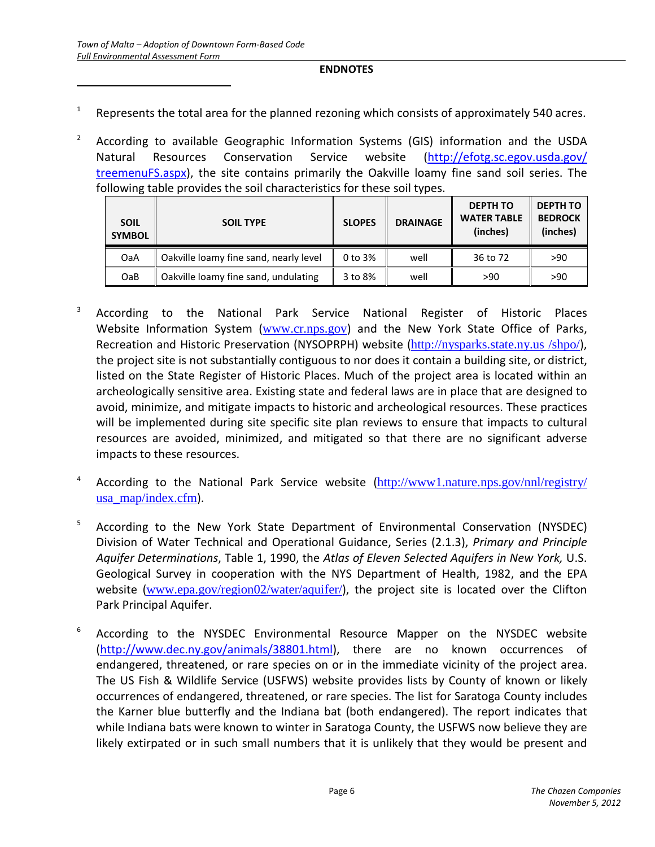$\overline{a}$ 

#### **ENDNOTES**

- 1 Represents the total area for the planned rezoning which consists of approximately 540 acres.
- <sup>2</sup> According to available Geographic Information Systems (GIS) information and the USDA Natural Resources Conservation Service website [\(http://efotg.sc.egov.usda.gov/](http://efotg.sc.egov.usda.gov/%20treemenuFS.aspx)  [treemenuFS.aspx\)](http://efotg.sc.egov.usda.gov/%20treemenuFS.aspx), the site contains primarily the Oakville loamy fine sand soil series. The following table provides the soil characteristics for these soil types.

| <b>SOIL</b><br><b>SYMBOL</b> | <b>SOIL TYPE</b>                       | <b>SLOPES</b> | <b>DRAINAGE</b> | <b>DEPTH TO</b><br><b>WATER TABLE</b><br>(inches) | <b>DEPTH TO</b><br><b>BEDROCK</b><br>(inches) |
|------------------------------|----------------------------------------|---------------|-----------------|---------------------------------------------------|-----------------------------------------------|
| OaA                          | Oakville loamy fine sand, nearly level | 0 to 3%       | well            | 36 to 72                                          | >90                                           |
| OaB                          | Oakville loamy fine sand, undulating   | 3 to 8%       | well            | >90                                               | >90                                           |

- <sup>3</sup> According to the National Park Service National Register of Historic Places Website Information System ([www.cr.nps.gov](http://www.cr.nps.gov/)) and the New York State Office of Parks, Recreation and Historic Preservation (NYSOPRPH) website (http://nysparks.state.ny.us /shpo/), the project site is not substantially contiguous to nor does it contain a building site, or district, listed on the State Register of Historic Places. Much of the project area is located within an archeologically sensitive area. Existing state and federal laws are in place that are designed to avoid, minimize, and mitigate impacts to historic and archeological resources. These practices will be implemented during site specific site plan reviews to ensure that impacts to cultural resources are avoided, minimized, and mitigated so that there are no significant adverse impacts to these resources.
- 4 According to the National Park Service website ([http://www1.nature.nps.gov/nnl/registry/](http://www1.nature.nps.gov/nnl/registry/%20usa_map/index.cfm)  [usa\\_map/index.cfm](http://www1.nature.nps.gov/nnl/registry/%20usa_map/index.cfm)).
- <sup>5</sup> According to the New York State Department of Environmental Conservation (NYSDEC) Division of Water Technical and Operational Guidance, Series (2.1.3), *Primary and Principle Aquifer Determinations*, Table 1, 1990, the *Atlas of Eleven Selected Aquifers in New York,* U.S. Geological Survey in cooperation with the NYS Department of Health, 1982, and the EPA website ([www.epa.gov/region02/water/aquifer/](http://www.epa.gov/region02/water/aquifer/)), the project site is located over the Clifton Park Principal Aquifer.
- 6 According to the NYSDEC Environmental Resource Mapper on the NYSDEC website [\(http://www.dec.ny.gov/animals/38801.html\)](http://www.dec.ny.gov/animals/38801.html), there are no known occurrences of endangered, threatened, or rare species on or in the immediate vicinity of the project area. The US Fish & Wildlife Service (USFWS) website provides lists by County of known or likely occurrences of endangered, threatened, or rare species. The list for Saratoga County includes the Karner blue butterfly and the Indiana bat (both endangered). The report indicates that while Indiana bats were known to winter in Saratoga County, the USFWS now believe they are likely extirpated or in such small numbers that it is unlikely that they would be present and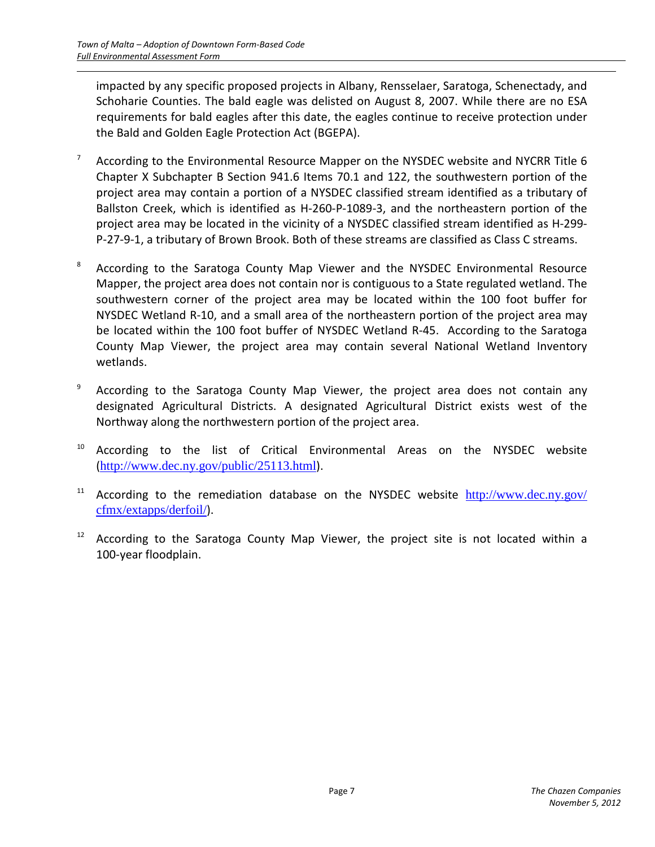<span id="page-11-0"></span> $\overline{a}$ 

impacted by any specific proposed projects in Albany, Rensselaer, Saratoga, Schenectady, and Schoharie Counties. The bald eagle was delisted on August 8, 2007. While there are no ESA requirements for bald eagles after this date, the eagles continue to receive protection under the Bald and Golden Eagle Protection Act (BGEPA).

- <span id="page-11-6"></span><span id="page-11-1"></span><sup>7</sup> According to the Environmental Resource Mapper on the NYSDEC website and NYCRR Title 6 Chapter X Subchapter B Section 941.6 Items 70.1 and 122, the southwestern portion of the project area may contain a portion of a NYSDEC classified stream identified as a tributary of Ballston Creek, which is identified as H-260-P-1089-3, and the northeastern portion of the project area may be located in the vicinity of a NYSDEC classified stream identified as H-299- P-27-9-1, a tributary of Brown Brook. Both of these streams are classified as Class C streams.
- <span id="page-11-7"></span><span id="page-11-2"></span><sup>8</sup> According to the Saratoga County Map Viewer and the NYSDEC Environmental Resource Mapper, the project area does not contain nor is contiguous to a State regulated wetland. The southwestern corner of the project area may be located within the 100 foot buffer for NYSDEC Wetland R-10, and a small area of the northeastern portion of the project area may be located within the 100 foot buffer of NYSDEC Wetland R-45. According to the Saratoga County Map Viewer, the project area may contain several National Wetland Inventory wetlands.
- <span id="page-11-8"></span><sup>9</sup> According to the Saratoga County Map Viewer, the project area does not contain any designated Agricultural Districts. A designated Agricultural District exists west of the Northway along the northwestern portion of the project area.
- <span id="page-11-9"></span><sup>10</sup> According to the list of Critical Environmental Areas on the NYSDEC website (<http://www.dec.ny.gov/public/25113.html>).
- <span id="page-11-10"></span><span id="page-11-3"></span><sup>11</sup> According to the remediation database on the NYSDEC website  $\frac{http://www.dec.ny.gov/}{http://www.dec.ny.gov/}$ [cfmx/extapps/derfoil/](http://www.dec.ny.gov/%20cfmx/extapps/derfoil/)).
- <span id="page-11-11"></span><span id="page-11-5"></span><span id="page-11-4"></span> $12$  According to the Saratoga County Map Viewer, the project site is not located within a 100-year floodplain.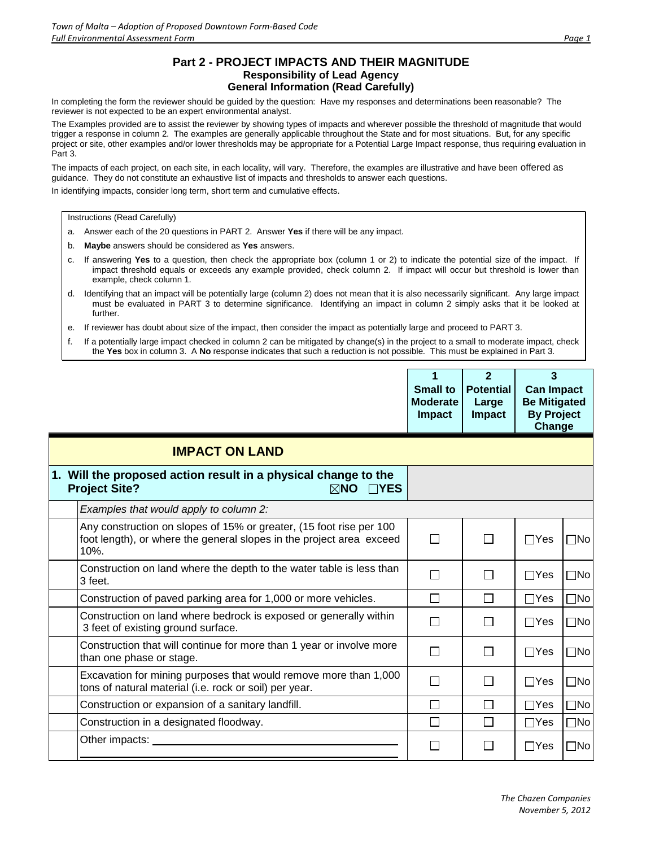#### **Part 2 - PROJECT IMPACTS AND THEIR MAGNITUDE Responsibility of Lead Agency General Information (Read Carefully)**

In completing the form the reviewer should be guided by the question: Have my responses and determinations been reasonable? The reviewer is not expected to be an expert environmental analyst.

The Examples provided are to assist the reviewer by showing types of impacts and wherever possible the threshold of magnitude that would trigger a response in column 2. The examples are generally applicable throughout the State and for most situations. But, for any specific project or site, other examples and/or lower thresholds may be appropriate for a Potential Large Impact response, thus requiring evaluation in Part 3.

The impacts of each project, on each site, in each locality, will vary. Therefore, the examples are illustrative and have been offered as guidance. They do not constitute an exhaustive list of impacts and thresholds to answer each questions.

In identifying impacts, consider long term, short term and cumulative effects.

Instructions (Read Carefully)

- a. Answer each of the 20 questions in PART 2. Answer **Yes** if there will be any impact.
- b. **Maybe** answers should be considered as **Yes** answers.
- c. If answering **Yes** to a question, then check the appropriate box (column 1 or 2) to indicate the potential size of the impact. If impact threshold equals or exceeds any example provided, check column 2. If impact will occur but threshold is lower than example, check column 1.
- d. Identifying that an impact will be potentially large (column 2) does not mean that it is also necessarily significant. Any large impact must be evaluated in PART 3 to determine significance. Identifying an impact in column 2 simply asks that it be looked at further.
- e. If reviewer has doubt about size of the impact, then consider the impact as potentially large and proceed to PART 3.
- f. If a potentially large impact checked in column 2 can be mitigated by change(s) in the project to a small to moderate impact, check the **Yes** box in column 3. A **No** response indicates that such a reduction is not possible. This must be explained in Part 3.

|                                                                                                                                                     | $\overline{2}$<br><b>Small to</b><br><b>Potential</b><br><b>Moderate</b><br>Large<br>Impact<br><b>Impact</b> |        | 3<br><b>Can Impact</b><br><b>Be Mitigated</b><br><b>By Project</b><br>Change |              |
|-----------------------------------------------------------------------------------------------------------------------------------------------------|--------------------------------------------------------------------------------------------------------------|--------|------------------------------------------------------------------------------|--------------|
| <b>IMPACT ON LAND</b>                                                                                                                               |                                                                                                              |        |                                                                              |              |
| 1. Will the proposed action result in a physical change to the<br><b>Project Site?</b><br>$\boxtimes$ NO<br>$\Box$ YES                              |                                                                                                              |        |                                                                              |              |
| Examples that would apply to column 2:                                                                                                              |                                                                                                              |        |                                                                              |              |
| Any construction on slopes of 15% or greater, (15 foot rise per 100<br>foot length), or where the general slopes in the project area exceed<br>10%. | $\mathbf{L}$                                                                                                 | П      | $\Box$ Yes                                                                   | $\square$ No |
| Construction on land where the depth to the water table is less than<br>3 feet.                                                                     | $\Box$                                                                                                       | $\Box$ | $\Box$ Yes                                                                   | $\square$ No |
| Construction of paved parking area for 1,000 or more vehicles.                                                                                      | $\Box$                                                                                                       | $\Box$ | $\Box Y$ es                                                                  | $\square$ No |
| Construction on land where bedrock is exposed or generally within<br>3 feet of existing ground surface.                                             | П                                                                                                            | П      | $\Box$ Yes                                                                   | $\square$ No |
| Construction that will continue for more than 1 year or involve more<br>than one phase or stage.                                                    | $\Box$                                                                                                       | $\Box$ | $\Box$ Yes                                                                   | $\square$ No |
| Excavation for mining purposes that would remove more than 1,000<br>tons of natural material (i.e. rock or soil) per year.                          | П                                                                                                            | $\Box$ | $\Box$ Yes                                                                   | $\square$ No |
| Construction or expansion of a sanitary landfill.                                                                                                   | $\Box$                                                                                                       | $\Box$ | $\Box$ Yes                                                                   | $\square$ No |
| Construction in a designated floodway.                                                                                                              | $\Box$                                                                                                       | $\Box$ | $\Box$ Yes                                                                   | $\square$ No |
| Other impacts:                                                                                                                                      |                                                                                                              | П      | $\Box$ Yes                                                                   | $\square$ No |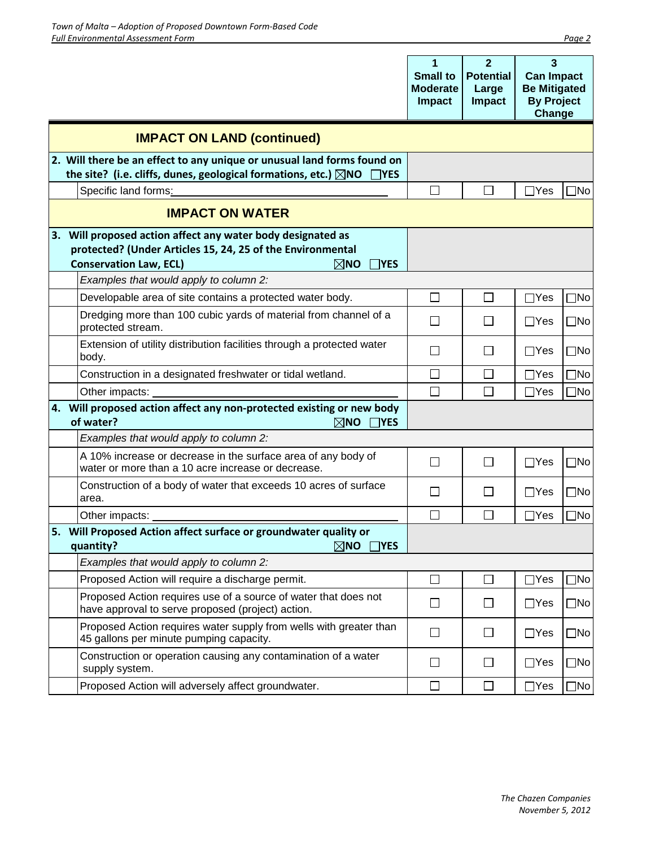|                                                                                                                                                                                            | 1<br><b>Small to</b><br><b>Moderate</b><br>Impact | $\overline{2}$<br><b>Potential</b><br>Large<br><b>Impact</b> | 3<br><b>Can Impact</b><br><b>Be Mitigated</b><br><b>By Project</b><br>Change |              |
|--------------------------------------------------------------------------------------------------------------------------------------------------------------------------------------------|---------------------------------------------------|--------------------------------------------------------------|------------------------------------------------------------------------------|--------------|
| <b>IMPACT ON LAND (continued)</b>                                                                                                                                                          |                                                   |                                                              |                                                                              |              |
| 2. Will there be an effect to any unique or unusual land forms found on<br>the site? (i.e. cliffs, dunes, geological formations, etc.) $\boxtimes$ NO<br>$\Box$ YES                        |                                                   |                                                              |                                                                              |              |
| Specific land forms:                                                                                                                                                                       | $\mathsf{L}$                                      | $\mathsf{L}$                                                 | $\sqcap$ Yes                                                                 | ]No          |
| <b>IMPACT ON WATER</b>                                                                                                                                                                     |                                                   |                                                              |                                                                              |              |
| 3. Will proposed action affect any water body designated as<br>protected? (Under Articles 15, 24, 25 of the Environmental<br><b>Conservation Law, ECL)</b><br>$\boxtimes$ NO<br>$\Box$ YES |                                                   |                                                              |                                                                              |              |
| Examples that would apply to column 2:                                                                                                                                                     |                                                   |                                                              |                                                                              |              |
| Developable area of site contains a protected water body.                                                                                                                                  | $\Box$                                            | $\Box$                                                       | $\Box$ Yes                                                                   | $\square$ No |
| Dredging more than 100 cubic yards of material from channel of a<br>protected stream.                                                                                                      | $\mathsf{L}$                                      | $\mathsf{L}$                                                 | $\Box$ Yes                                                                   | $\square$ No |
| Extension of utility distribution facilities through a protected water<br>body.                                                                                                            | $\Box$                                            | $\Box$                                                       | $\Box$ Yes                                                                   | $\square$ No |
| Construction in a designated freshwater or tidal wetland.                                                                                                                                  | $\mathsf{L}$                                      | $\Box$                                                       | $\Box$ Yes                                                                   | $\square$ No |
| Other impacts:                                                                                                                                                                             | П                                                 | $\Box$                                                       | $\Box$ Yes                                                                   | $\Box$ No    |
| 4. Will proposed action affect any non-protected existing or new body<br>of water?<br>$\boxtimes$ NO<br>$\Box$ YES                                                                         |                                                   |                                                              |                                                                              |              |
| Examples that would apply to column 2:                                                                                                                                                     |                                                   |                                                              |                                                                              |              |
| A 10% increase or decrease in the surface area of any body of<br>water or more than a 10 acre increase or decrease.                                                                        | $\mathsf{L}$                                      | $\Box$                                                       | $\Box$ Yes                                                                   | $\square$ No |
| Construction of a body of water that exceeds 10 acres of surface<br>area.                                                                                                                  | $\Box$                                            | $\mathbf{L}$                                                 | $\Box$ Yes                                                                   | $\square$ No |
| Other impacts:                                                                                                                                                                             |                                                   | $\mathbf{L}$                                                 | $\Box$ Yes                                                                   | $\square$ No |
| 5. Will Proposed Action affect surface or groundwater quality or<br>quantity?<br>$\boxtimes$ NO<br>$\Box$ YES                                                                              |                                                   |                                                              |                                                                              |              |
| Examples that would apply to column 2:                                                                                                                                                     |                                                   |                                                              |                                                                              |              |
| Proposed Action will require a discharge permit.                                                                                                                                           | $\Box$                                            | $\Box$                                                       | $\Box$ Yes                                                                   | $\exists$ No |
| Proposed Action requires use of a source of water that does not<br>have approval to serve proposed (project) action.                                                                       | $\Box$                                            | $\Box$                                                       | $\Box$ Yes                                                                   | $\Box$ No    |
| Proposed Action requires water supply from wells with greater than<br>45 gallons per minute pumping capacity.                                                                              | $\Box$                                            | $\Box$                                                       | $\Box$ Yes                                                                   | $\square$ No |
| Construction or operation causing any contamination of a water<br>supply system.                                                                                                           | $\Box$                                            | $\Box$                                                       | $\Box$ Yes                                                                   | $\square$ No |
| Proposed Action will adversely affect groundwater.                                                                                                                                         | $\Box$                                            | П                                                            | $\Box$ Yes                                                                   | $\Box$ No    |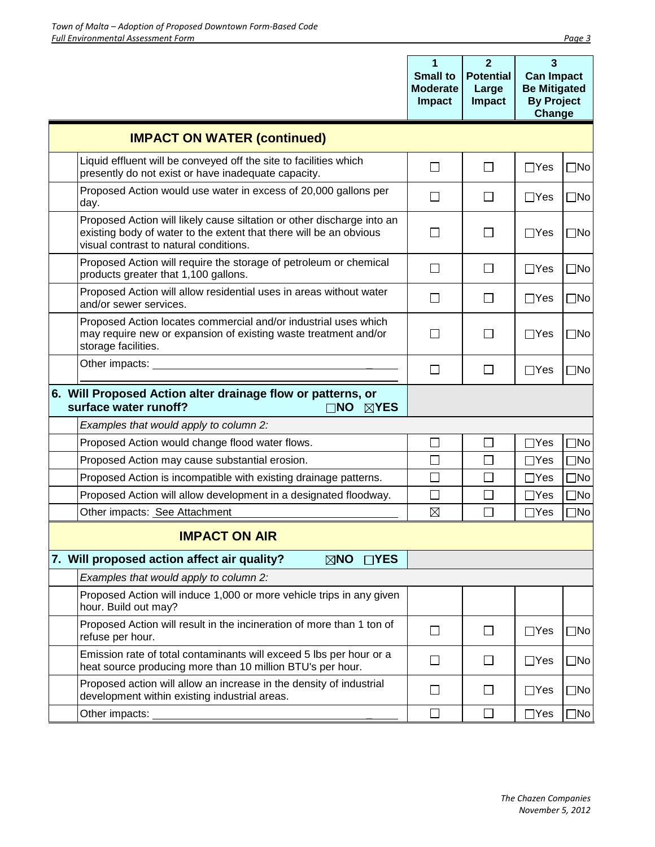|                                                                                                                                                                                        | 1<br><b>Small to</b><br><b>Moderate</b><br>Impact | $\mathbf{2}$<br><b>Potential</b><br>Large<br><b>Impact</b> | 3<br><b>Can Impact</b><br><b>Be Mitigated</b><br><b>By Project</b><br>Change |              |
|----------------------------------------------------------------------------------------------------------------------------------------------------------------------------------------|---------------------------------------------------|------------------------------------------------------------|------------------------------------------------------------------------------|--------------|
| <b>IMPACT ON WATER (continued)</b>                                                                                                                                                     |                                                   |                                                            |                                                                              |              |
| Liquid effluent will be conveyed off the site to facilities which<br>presently do not exist or have inadequate capacity.                                                               | $\Box$                                            | $\Box$                                                     | $\Box$ Yes                                                                   | $\Box$ No    |
| Proposed Action would use water in excess of 20,000 gallons per<br>day.                                                                                                                | $\Box$                                            | $\Box$                                                     | $\Box$ Yes                                                                   | $\square$ No |
| Proposed Action will likely cause siltation or other discharge into an<br>existing body of water to the extent that there will be an obvious<br>visual contrast to natural conditions. | П                                                 | $\mathbf{L}$                                               | $\Box$ Yes                                                                   | $\square$ No |
| Proposed Action will require the storage of petroleum or chemical<br>products greater that 1,100 gallons.                                                                              | $\Box$                                            | $\Box$                                                     | $\Box$ Yes                                                                   | $\square$ No |
| Proposed Action will allow residential uses in areas without water<br>and/or sewer services.                                                                                           | $\Box$                                            | $\perp$                                                    | $\Box$ Yes                                                                   | $\square$ No |
| Proposed Action locates commercial and/or industrial uses which<br>may require new or expansion of existing waste treatment and/or<br>storage facilities.                              | $\Box$                                            | П                                                          | $\Box$ Yes                                                                   | $\Box$ No    |
| Other impacts:                                                                                                                                                                         | $\Box$                                            | $\Box$                                                     | $\Box$ Yes                                                                   | $\square$ No |
| 6. Will Proposed Action alter drainage flow or patterns, or<br>surface water runoff?<br>⊺NO<br>$\boxtimes$ YES                                                                         |                                                   |                                                            |                                                                              |              |
| Examples that would apply to column 2:                                                                                                                                                 |                                                   |                                                            |                                                                              |              |
| Proposed Action would change flood water flows.                                                                                                                                        | □                                                 | $\Box$                                                     | $\Box$ Yes                                                                   | $\Box$ No    |
| Proposed Action may cause substantial erosion.                                                                                                                                         | $\Box$                                            | $\Box$                                                     | $\Box$ Yes                                                                   | $\Box$ No    |
| Proposed Action is incompatible with existing drainage patterns.                                                                                                                       | $\mathsf{L}$                                      | П                                                          | $\Box$ Yes                                                                   | $\Box$ No    |
| Proposed Action will allow development in a designated floodway.                                                                                                                       | П                                                 | $\Box$                                                     | $\Box$ Yes                                                                   | $\square$ No |
| Other impacts: See Attachment                                                                                                                                                          | $\boxtimes$                                       | П                                                          | $\Box$ Yes                                                                   | $\Box$ No    |
| <b>IMPACT ON AIR</b>                                                                                                                                                                   |                                                   |                                                            |                                                                              |              |
| 7. Will proposed action affect air quality?<br>$\boxtimes$ NO $\Box$ YES                                                                                                               |                                                   |                                                            |                                                                              |              |
| Examples that would apply to column 2:                                                                                                                                                 |                                                   |                                                            |                                                                              |              |
| Proposed Action will induce 1,000 or more vehicle trips in any given<br>hour. Build out may?                                                                                           |                                                   |                                                            |                                                                              |              |
| Proposed Action will result in the incineration of more than 1 ton of<br>refuse per hour.                                                                                              | $\Box$                                            | $\Box$                                                     | $\Box$ Yes                                                                   | $\square$ No |
| Emission rate of total contaminants will exceed 5 lbs per hour or a<br>heat source producing more than 10 million BTU's per hour.                                                      | $\Box$                                            | $\Box$                                                     | $\Box$ Yes                                                                   | $\square$ No |
| Proposed action will allow an increase in the density of industrial<br>development within existing industrial areas.                                                                   | $\Box$                                            | $\Box$                                                     | $\Box$ Yes                                                                   | $\Box$ No    |
| Other impacts:                                                                                                                                                                         | П                                                 | $\Box$                                                     | $\Box$ Yes                                                                   | $\square$ No |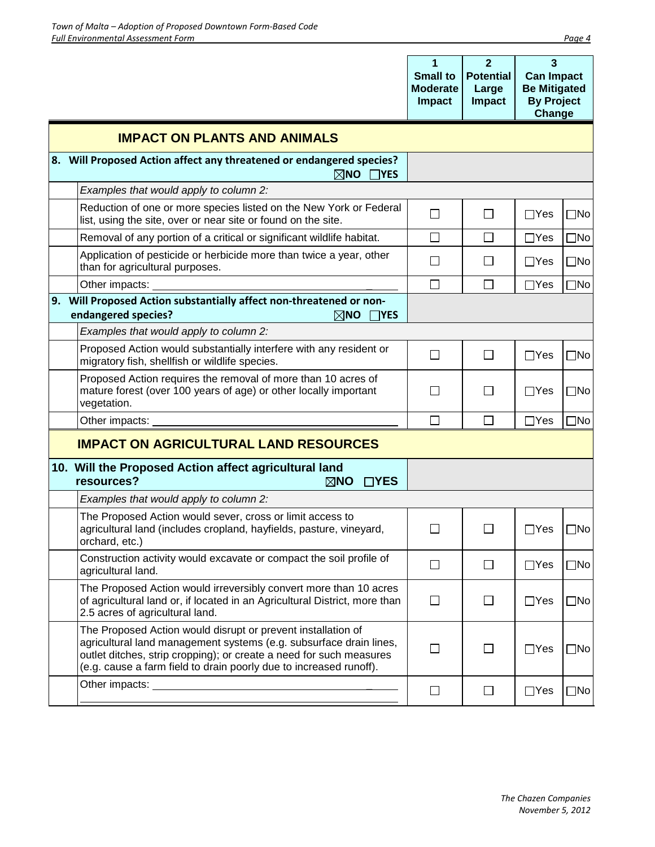|                                                                                                                                                                                                                                                                                 |                              | 1<br><b>Small to</b><br><b>Moderate</b><br><b>Impact</b> | $\overline{2}$<br><b>Potential</b><br>Large<br><b>Impact</b> | 3<br><b>Can Impact</b><br><b>Be Mitigated</b><br><b>By Project</b><br>Change |              |
|---------------------------------------------------------------------------------------------------------------------------------------------------------------------------------------------------------------------------------------------------------------------------------|------------------------------|----------------------------------------------------------|--------------------------------------------------------------|------------------------------------------------------------------------------|--------------|
| <b>IMPACT ON PLANTS AND ANIMALS</b>                                                                                                                                                                                                                                             |                              |                                                          |                                                              |                                                                              |              |
| 8. Will Proposed Action affect any threatened or endangered species?                                                                                                                                                                                                            | $\boxtimes$ no<br>$\neg$ YES |                                                          |                                                              |                                                                              |              |
| Examples that would apply to column 2:                                                                                                                                                                                                                                          |                              |                                                          |                                                              |                                                                              |              |
| Reduction of one or more species listed on the New York or Federal<br>list, using the site, over or near site or found on the site.                                                                                                                                             |                              | $\Box$                                                   | $\Box$                                                       | $\Box$ Yes                                                                   | $\square$ No |
| Removal of any portion of a critical or significant wildlife habitat.                                                                                                                                                                                                           |                              | $\Box$                                                   | $\Box$                                                       | $\Box$ Yes                                                                   | $\Box$ No    |
| Application of pesticide or herbicide more than twice a year, other<br>than for agricultural purposes.                                                                                                                                                                          |                              | $\Box$                                                   | П                                                            | ⊟Yes                                                                         | $\square$ No |
| Other impacts:                                                                                                                                                                                                                                                                  |                              | П                                                        | $\Box$                                                       | $\Box$ Yes                                                                   | $\Box$ No    |
| 9. Will Proposed Action substantially affect non-threatened or non-<br>endangered species?                                                                                                                                                                                      | $\boxtimes$ NO<br>$\Box$ YES |                                                          |                                                              |                                                                              |              |
| Examples that would apply to column 2:                                                                                                                                                                                                                                          |                              |                                                          |                                                              |                                                                              |              |
| Proposed Action would substantially interfere with any resident or<br>migratory fish, shellfish or wildlife species.                                                                                                                                                            |                              | $\perp$                                                  | $\Box$                                                       | $\Box$ Yes                                                                   | $\square$ No |
| Proposed Action requires the removal of more than 10 acres of<br>mature forest (over 100 years of age) or other locally important<br>vegetation.                                                                                                                                |                              |                                                          | $\Box$                                                       | ∃Yes                                                                         | $\Box$ No    |
| Other impacts:                                                                                                                                                                                                                                                                  |                              |                                                          | $\mathbf{L}$                                                 | $\Box$ Yes                                                                   | $\square$ No |
| <b>IMPACT ON AGRICULTURAL LAND RESOURCES</b>                                                                                                                                                                                                                                    |                              |                                                          |                                                              |                                                                              |              |
| 10. Will the Proposed Action affect agricultural land<br>resources?<br>$\boxtimes$ NO                                                                                                                                                                                           | $\Box$ YES                   |                                                          |                                                              |                                                                              |              |
| Examples that would apply to column 2:                                                                                                                                                                                                                                          |                              |                                                          |                                                              |                                                                              |              |
| The Proposed Action would sever, cross or limit access to<br>agricultural land (includes cropland, hayfields, pasture, vineyard,<br>orchard, etc.)                                                                                                                              |                              |                                                          | П                                                            | $\Box$ Yes                                                                   | $\square$ No |
| Construction activity would excavate or compact the soil profile of<br>agricultural land.                                                                                                                                                                                       |                              | $\Box$                                                   | $\Box$                                                       | $\Box$ Yes                                                                   | $\square$ No |
| The Proposed Action would irreversibly convert more than 10 acres<br>of agricultural land or, if located in an Agricultural District, more than<br>2.5 acres of agricultural land.                                                                                              |                              | $\Box$                                                   | $\Box$                                                       | $\Box$ Yes                                                                   | $\square$ No |
| The Proposed Action would disrupt or prevent installation of<br>agricultural land management systems (e.g. subsurface drain lines,<br>outlet ditches, strip cropping); or create a need for such measures<br>(e.g. cause a farm field to drain poorly due to increased runoff). |                              | $\Box$                                                   | $\Box$                                                       | $\Box$ Yes                                                                   | $\square$ No |
| Other impacts: University of the contract of the contract of the contract of the contract of the contract of the contract of the contract of the contract of the contract of the contract of the contract of the contract of t                                                  |                              | ⊔                                                        | $\Box$                                                       | $\Box$ Yes                                                                   | $\square$ No |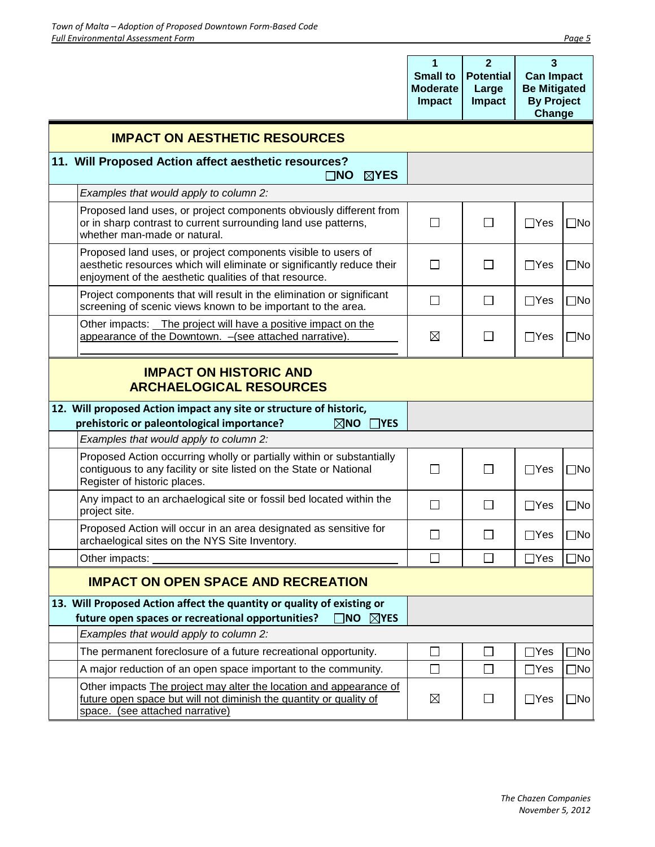|                                                                                                                                                                                                   | 1<br><b>Small to</b><br><b>Moderate</b><br><b>Impact</b> | $\overline{2}$<br><b>Potential</b><br>Large<br><b>Impact</b> | $\mathbf{3}$<br><b>Can Impact</b><br><b>Be Mitigated</b><br><b>By Project</b><br>Change |              |
|---------------------------------------------------------------------------------------------------------------------------------------------------------------------------------------------------|----------------------------------------------------------|--------------------------------------------------------------|-----------------------------------------------------------------------------------------|--------------|
| <b>IMPACT ON AESTHETIC RESOURCES</b>                                                                                                                                                              |                                                          |                                                              |                                                                                         |              |
| 11. Will Proposed Action affect aesthetic resources?<br>$\boxtimes$ YES<br>$\square$ NO                                                                                                           |                                                          |                                                              |                                                                                         |              |
| Examples that would apply to column 2:                                                                                                                                                            |                                                          |                                                              |                                                                                         |              |
| Proposed land uses, or project components obviously different from<br>or in sharp contrast to current surrounding land use patterns,<br>whether man-made or natural.                              | $\Box$                                                   | $\Box$                                                       | $\Box$ Yes                                                                              | $\square$ No |
| Proposed land uses, or project components visible to users of<br>aesthetic resources which will eliminate or significantly reduce their<br>enjoyment of the aesthetic qualities of that resource. | $\mathsf{L}$                                             | ΙI                                                           | $\Box$ Yes                                                                              | $\square$ No |
| Project components that will result in the elimination or significant<br>screening of scenic views known to be important to the area.                                                             | $\Box$                                                   | $\Box$                                                       | $\Box$ Yes                                                                              | $\Box$ No    |
| Other impacts: The project will have a positive impact on the<br>appearance of the Downtown. - (see attached narrative).                                                                          | $\boxtimes$                                              | $\mathsf{L}$                                                 | $\Box$ Yes                                                                              | $\square$ No |
| <b>ARCHAELOGICAL RESOURCES</b><br>12. Will proposed Action impact any site or structure of historic,<br>prehistoric or paleontological importance?<br>$\boxtimes$ NO<br>$\neg$ YES                |                                                          |                                                              |                                                                                         |              |
| Examples that would apply to column 2:                                                                                                                                                            |                                                          |                                                              |                                                                                         |              |
| Proposed Action occurring wholly or partially within or substantially<br>contiguous to any facility or site listed on the State or National<br>Register of historic places.                       | $\mathsf{L}$                                             | $\Box$                                                       | $\Box$ Yes                                                                              | $\square$ No |
| Any impact to an archaelogical site or fossil bed located within the<br>project site.                                                                                                             | $\Box$                                                   | $\Box$                                                       | $\Box$ Yes                                                                              | $\square$ No |
| Proposed Action will occur in an area designated as sensitive for<br>archaelogical sites on the NYS Site Inventory.                                                                               |                                                          |                                                              | $\Box$ Yes                                                                              | $\Box$ No    |
| Other impacts:                                                                                                                                                                                    | $\mathsf{L}$                                             | $\Box$                                                       | $\Box$ Yes                                                                              | ∃No          |
| <b>IMPACT ON OPEN SPACE AND RECREATION</b>                                                                                                                                                        |                                                          |                                                              |                                                                                         |              |
| 13. Will Proposed Action affect the quantity or quality of existing or<br>future open spaces or recreational opportunities?<br>$\overline{\mathsf{NO}}$ $\overline{\mathsf{N}}$ yes               |                                                          |                                                              |                                                                                         |              |
| Examples that would apply to column 2:                                                                                                                                                            |                                                          |                                                              |                                                                                         |              |
| The permanent foreclosure of a future recreational opportunity.                                                                                                                                   |                                                          | $\overline{\phantom{0}}$                                     | $\Box$ Yes                                                                              | ∃No          |
| A major reduction of an open space important to the community.                                                                                                                                    | $\Box$                                                   | $\mathsf{L}$                                                 | $\Box$ Yes                                                                              | $\Box$ No    |
| Other impacts The project may alter the location and appearance of<br>future open space but will not diminish the quantity or quality of<br>space. (see attached narrative)                       | $\boxtimes$                                              |                                                              | $\Box$ Yes                                                                              | $\square$ No |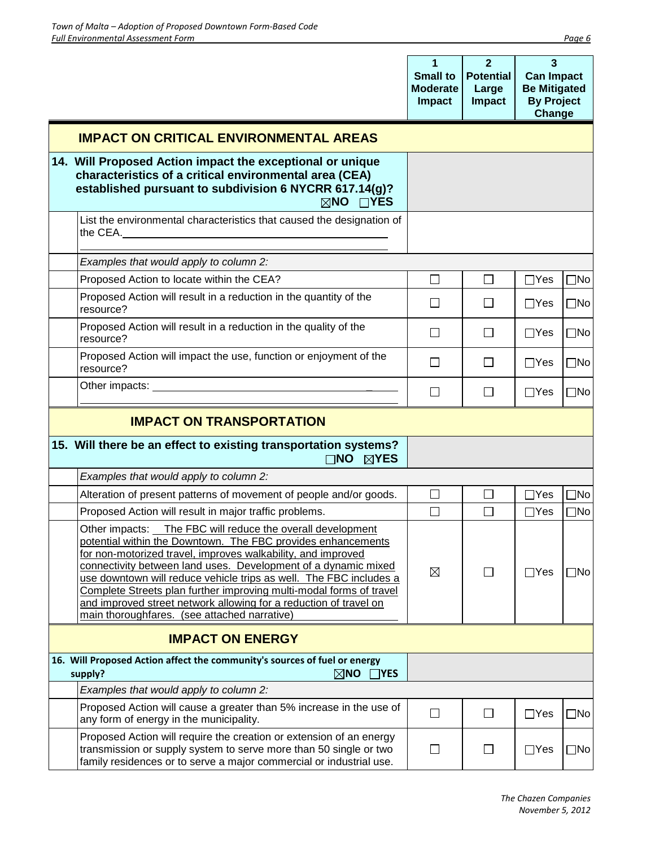|                                                                                                                                                                                                                                                                                                                                                                                                                                                                                                                                | 1<br><b>Small to</b><br><b>Moderate</b><br>Impact | $\overline{2}$<br><b>Potential</b><br>Large<br><b>Impact</b> | 3<br><b>Can Impact</b><br><b>Be Mitigated</b><br><b>By Project</b><br>Change |              |
|--------------------------------------------------------------------------------------------------------------------------------------------------------------------------------------------------------------------------------------------------------------------------------------------------------------------------------------------------------------------------------------------------------------------------------------------------------------------------------------------------------------------------------|---------------------------------------------------|--------------------------------------------------------------|------------------------------------------------------------------------------|--------------|
| <b>IMPACT ON CRITICAL ENVIRONMENTAL AREAS</b>                                                                                                                                                                                                                                                                                                                                                                                                                                                                                  |                                                   |                                                              |                                                                              |              |
| 14. Will Proposed Action impact the exceptional or unique<br>characteristics of a critical environmental area (CEA)<br>established pursuant to subdivision 6 NYCRR 617.14(g)?<br>$\boxtimes$ NO<br>$\Box$ YES                                                                                                                                                                                                                                                                                                                  |                                                   |                                                              |                                                                              |              |
| List the environmental characteristics that caused the designation of<br>the CEA.                                                                                                                                                                                                                                                                                                                                                                                                                                              |                                                   |                                                              |                                                                              |              |
| Examples that would apply to column 2:                                                                                                                                                                                                                                                                                                                                                                                                                                                                                         |                                                   |                                                              |                                                                              |              |
| Proposed Action to locate within the CEA?                                                                                                                                                                                                                                                                                                                                                                                                                                                                                      | $\Box$                                            | $\Box$                                                       | $\Box$ Yes                                                                   | $\square$ No |
| Proposed Action will result in a reduction in the quantity of the<br>resource?                                                                                                                                                                                                                                                                                                                                                                                                                                                 | $\mathsf{L}$                                      | $\Box$                                                       | $\Box$ Yes                                                                   | $\square$ No |
| Proposed Action will result in a reduction in the quality of the<br>resource?                                                                                                                                                                                                                                                                                                                                                                                                                                                  | $\mathsf{L}$                                      | П                                                            | $\Box$ Yes                                                                   | $\square$ No |
| Proposed Action will impact the use, function or enjoyment of the<br>resource?                                                                                                                                                                                                                                                                                                                                                                                                                                                 | $\Box$                                            | $\Box$                                                       | $\Box$ Yes                                                                   | $\square$ No |
|                                                                                                                                                                                                                                                                                                                                                                                                                                                                                                                                | $\mathsf{L}$                                      | $\Box$                                                       | $\Box$ Yes                                                                   | $\square$ No |
| <b>IMPACT ON TRANSPORTATION</b>                                                                                                                                                                                                                                                                                                                                                                                                                                                                                                |                                                   |                                                              |                                                                              |              |
| 15. Will there be an effect to existing transportation systems?<br>$\square$ NO<br>$\boxtimes$ YES                                                                                                                                                                                                                                                                                                                                                                                                                             |                                                   |                                                              |                                                                              |              |
| Examples that would apply to column 2:                                                                                                                                                                                                                                                                                                                                                                                                                                                                                         |                                                   |                                                              |                                                                              |              |
| Alteration of present patterns of movement of people and/or goods.                                                                                                                                                                                                                                                                                                                                                                                                                                                             |                                                   | $\Box$                                                       | $\Box$ Yes                                                                   | $\Box$ No    |
| Proposed Action will result in major traffic problems.                                                                                                                                                                                                                                                                                                                                                                                                                                                                         | П                                                 | $\Box$                                                       | $\Box$ Yes                                                                   | $\Box$ No    |
| Other impacts: The FBC will reduce the overall development<br>potential within the Downtown. The FBC provides enhancements<br>for non-motorized travel, improves walkability, and improved<br>connectivity between land uses. Development of a dynamic mixed<br>use downtown will reduce vehicle trips as well. The FBC includes a<br>Complete Streets plan further improving multi-modal forms of travel<br>and improved street network allowing for a reduction of travel on<br>main thoroughfares. (see attached narrative) | $\boxtimes$                                       | П                                                            | $\Box$ Yes                                                                   | $\square$ No |
| <b>IMPACT ON ENERGY</b>                                                                                                                                                                                                                                                                                                                                                                                                                                                                                                        |                                                   |                                                              |                                                                              |              |
| 16. Will Proposed Action affect the community's sources of fuel or energy<br>$\boxtimes$ NO<br>$\Box$ YES<br>supply?                                                                                                                                                                                                                                                                                                                                                                                                           |                                                   |                                                              |                                                                              |              |
| Examples that would apply to column 2:                                                                                                                                                                                                                                                                                                                                                                                                                                                                                         |                                                   |                                                              |                                                                              |              |
| Proposed Action will cause a greater than 5% increase in the use of<br>any form of energy in the municipality.                                                                                                                                                                                                                                                                                                                                                                                                                 | $\Box$                                            | □                                                            | $\Box$ Yes                                                                   | $\Box$ No    |
| Proposed Action will require the creation or extension of an energy<br>transmission or supply system to serve more than 50 single or two<br>family residences or to serve a major commercial or industrial use.                                                                                                                                                                                                                                                                                                                | $\mathsf{L}$                                      | $\mathsf{L}$                                                 | $\Box$ Yes                                                                   | $\Box$ No    |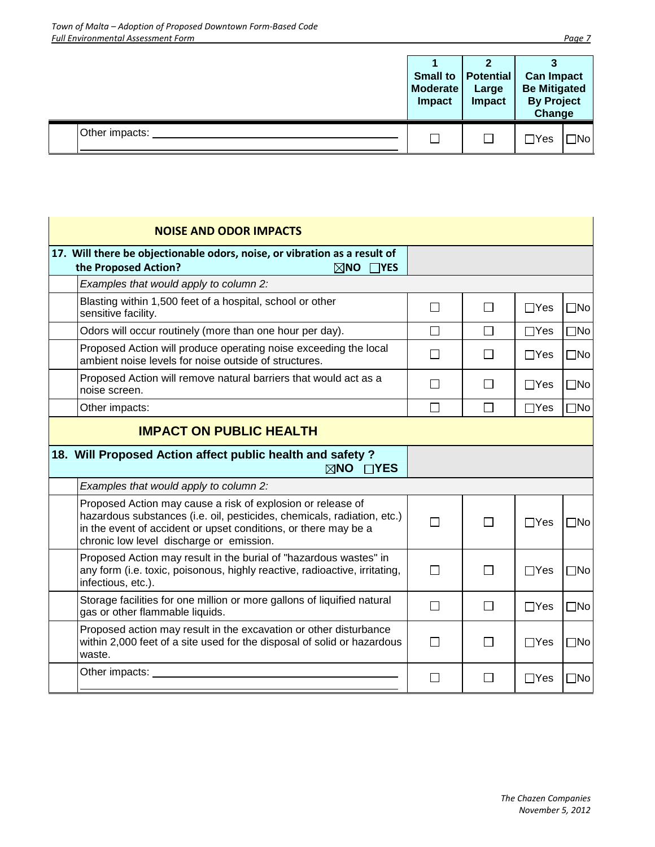|                | <b>Small to</b><br>Moderate<br>Impact | ◠<br><b>Potential</b><br>Large<br><b>Impact</b> | <b>Can Impact</b><br><b>Be Mitigated</b><br><b>By Project</b><br>Change |           |
|----------------|---------------------------------------|-------------------------------------------------|-------------------------------------------------------------------------|-----------|
| Other impacts: |                                       |                                                 | $\exists$ Yes                                                           | $\Box$ No |

 $\mathbf{r}$ 

|                                | <b>NOISE AND ODOR IMPACTS</b>                                                                                                                                                                                                                         |              |              |            |              |  |
|--------------------------------|-------------------------------------------------------------------------------------------------------------------------------------------------------------------------------------------------------------------------------------------------------|--------------|--------------|------------|--------------|--|
|                                | 17. Will there be objectionable odors, noise, or vibration as a result of<br>the Proposed Action?<br>$\boxtimes$ NO<br>$\Box$ YES                                                                                                                     |              |              |            |              |  |
|                                | Examples that would apply to column 2:                                                                                                                                                                                                                |              |              |            |              |  |
|                                | Blasting within 1,500 feet of a hospital, school or other<br>sensitive facility.                                                                                                                                                                      | $\mathbf{L}$ | $\mathsf{L}$ | $\Box$ Yes | $\square$ No |  |
|                                | Odors will occur routinely (more than one hour per day).                                                                                                                                                                                              | $\Box$       | П            | $\Box$ Yes | $\square$ No |  |
|                                | Proposed Action will produce operating noise exceeding the local<br>ambient noise levels for noise outside of structures.                                                                                                                             | $\mathbf{L}$ | ΙI           | $\Box$ Yes | $\square$ No |  |
|                                | Proposed Action will remove natural barriers that would act as a<br>noise screen.                                                                                                                                                                     | $\mathbf{L}$ | $\mathsf{L}$ | $\Box$ Yes | $\square$ No |  |
|                                | Other impacts:                                                                                                                                                                                                                                        | П            | П            | $\Box$ Yes | $\square$ No |  |
| <b>IMPACT ON PUBLIC HEALTH</b> |                                                                                                                                                                                                                                                       |              |              |            |              |  |
|                                | 18. Will Proposed Action affect public health and safety?<br>$\boxtimes$ NO $\Box$ YES                                                                                                                                                                |              |              |            |              |  |
|                                | Examples that would apply to column 2:                                                                                                                                                                                                                |              |              |            |              |  |
|                                | Proposed Action may cause a risk of explosion or release of<br>hazardous substances (i.e. oil, pesticides, chemicals, radiation, etc.)<br>in the event of accident or upset conditions, or there may be a<br>chronic low level discharge or emission. | П            | П            | $\Box$ Yes | $\square$ No |  |
|                                | Proposed Action may result in the burial of "hazardous wastes" in<br>any form (i.e. toxic, poisonous, highly reactive, radioactive, irritating,<br>infectious, etc.).                                                                                 | П            | $\mathsf{L}$ | $\Box$ Yes | $\square$ No |  |
|                                | Storage facilities for one million or more gallons of liquified natural<br>gas or other flammable liquids.                                                                                                                                            | $\Box$       | $\Box$       | $\Box$ Yes | $\square$ No |  |
|                                | Proposed action may result in the excavation or other disturbance<br>within 2,000 feet of a site used for the disposal of solid or hazardous<br>waste.                                                                                                | П            | $\mathsf{L}$ | $\Box$ Yes | $\square$ No |  |
|                                | Other impacts:                                                                                                                                                                                                                                        | $\mathsf{L}$ | ΙI           | $\Box$ Yes | $\square$ No |  |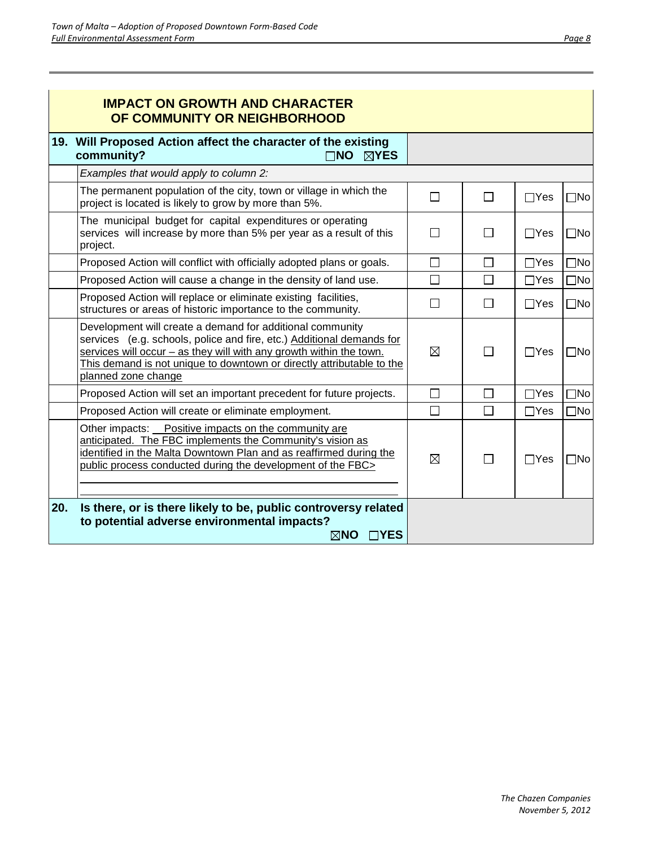|     | <b>IMPACT ON GROWTH AND CHARACTER</b><br>OF COMMUNITY OR NEIGHBORHOOD                                                                                                                                                                                                                                     |             |        |             |              |
|-----|-----------------------------------------------------------------------------------------------------------------------------------------------------------------------------------------------------------------------------------------------------------------------------------------------------------|-------------|--------|-------------|--------------|
|     | 19. Will Proposed Action affect the character of the existing<br>community?<br>$\Box$ no $\boxtimes$ yes                                                                                                                                                                                                  |             |        |             |              |
|     | Examples that would apply to column 2:                                                                                                                                                                                                                                                                    |             |        |             |              |
|     | The permanent population of the city, town or village in which the<br>project is located is likely to grow by more than 5%.                                                                                                                                                                               | П           | П      | $\Box$ Yes  | $\square$ No |
|     | The municipal budget for capital expenditures or operating<br>services will increase by more than 5% per year as a result of this<br>project.                                                                                                                                                             | П           | П      | $\Box$ Yes  | $\square$ No |
|     | Proposed Action will conflict with officially adopted plans or goals.                                                                                                                                                                                                                                     | $\Box$      | $\Box$ | $\Box$ Yes  | $\square$ No |
|     | Proposed Action will cause a change in the density of land use.                                                                                                                                                                                                                                           | $\Box$      | $\Box$ | $\Box$ Yes  | $\square$ No |
|     | Proposed Action will replace or eliminate existing facilities,<br>structures or areas of historic importance to the community.                                                                                                                                                                            | П           |        | $\Box$ Yes  | $\square$ No |
|     | Development will create a demand for additional community<br>services (e.g. schools, police and fire, etc.) Additional demands for<br>services will occur - as they will with any growth within the town.<br>This demand is not unique to downtown or directly attributable to the<br>planned zone change | $\boxtimes$ |        | $\Box$ Yes  | $\square$ No |
|     | Proposed Action will set an important precedent for future projects.                                                                                                                                                                                                                                      | $\Box$      | $\Box$ | $\Box$ Yes  | $\square$ No |
|     | Proposed Action will create or eliminate employment.                                                                                                                                                                                                                                                      | П           | $\Box$ | $\Box Y$ es | $\square$ No |
|     | Other impacts: Positive impacts on the community are<br>anticipated. The FBC implements the Community's vision as<br>identified in the Malta Downtown Plan and as reaffirmed during the<br>public process conducted during the development of the FBC>                                                    | ⊠           | П      | $\Box$ Yes  | $\square$ No |
| 20. | Is there, or is there likely to be, public controversy related<br>to potential adverse environmental impacts?<br>⊠NO □YES                                                                                                                                                                                 |             |        |             |              |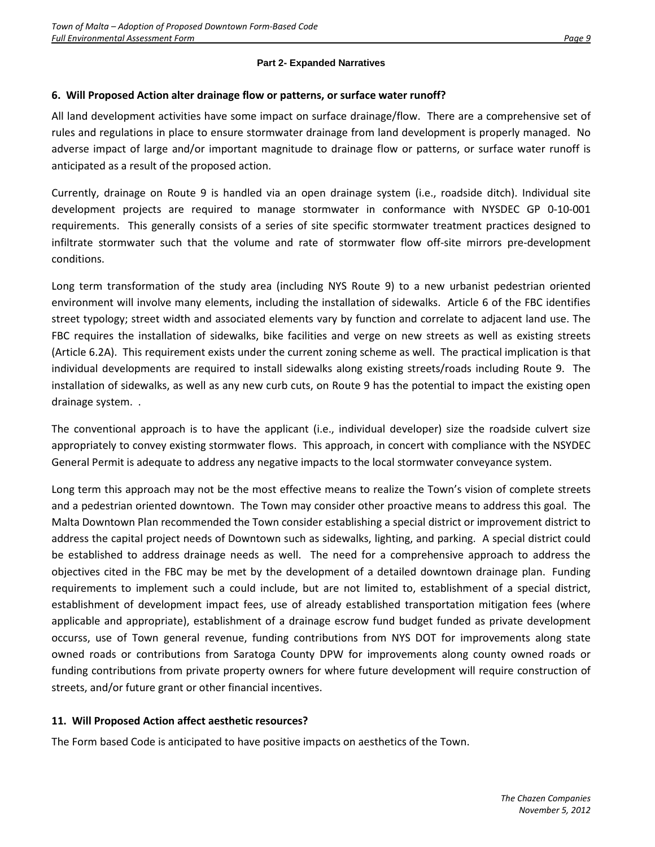#### **Part 2- Expanded Narratives**

#### **6. Will Proposed Action alter drainage flow or patterns, or surface water runoff?**

All land development activities have some impact on surface drainage/flow. There are a comprehensive set of rules and regulations in place to ensure stormwater drainage from land development is properly managed. No adverse impact of large and/or important magnitude to drainage flow or patterns, or surface water runoff is anticipated as a result of the proposed action.

Currently, drainage on Route 9 is handled via an open drainage system (i.e., roadside ditch). Individual site development projects are required to manage stormwater in conformance with NYSDEC GP 0-10-001 requirements. This generally consists of a series of site specific stormwater treatment practices designed to infiltrate stormwater such that the volume and rate of stormwater flow off-site mirrors pre-development conditions.

Long term transformation of the study area (including NYS Route 9) to a new urbanist pedestrian oriented environment will involve many elements, including the installation of sidewalks. Article 6 of the FBC identifies street typology; street width and associated elements vary by function and correlate to adjacent land use. The FBC requires the installation of sidewalks, bike facilities and verge on new streets as well as existing streets (Article 6.2A). This requirement exists under the current zoning scheme as well. The practical implication is that individual developments are required to install sidewalks along existing streets/roads including Route 9. The installation of sidewalks, as well as any new curb cuts, on Route 9 has the potential to impact the existing open drainage system. .

The conventional approach is to have the applicant (i.e., individual developer) size the roadside culvert size appropriately to convey existing stormwater flows. This approach, in concert with compliance with the NSYDEC General Permit is adequate to address any negative impacts to the local stormwater conveyance system.

Long term this approach may not be the most effective means to realize the Town's vision of complete streets and a pedestrian oriented downtown. The Town may consider other proactive means to address this goal. The Malta Downtown Plan recommended the Town consider establishing a special district or improvement district to address the capital project needs of Downtown such as sidewalks, lighting, and parking. A special district could be established to address drainage needs as well. The need for a comprehensive approach to address the objectives cited in the FBC may be met by the development of a detailed downtown drainage plan. Funding requirements to implement such a could include, but are not limited to, establishment of a special district, establishment of development impact fees, use of already established transportation mitigation fees (where applicable and appropriate), establishment of a drainage escrow fund budget funded as private development occurss, use of Town general revenue, funding contributions from NYS DOT for improvements along state owned roads or contributions from Saratoga County DPW for improvements along county owned roads or funding contributions from private property owners for where future development will require construction of streets, and/or future grant or other financial incentives.

#### **11. Will Proposed Action affect aesthetic resources?**

The Form based Code is anticipated to have positive impacts on aesthetics of the Town.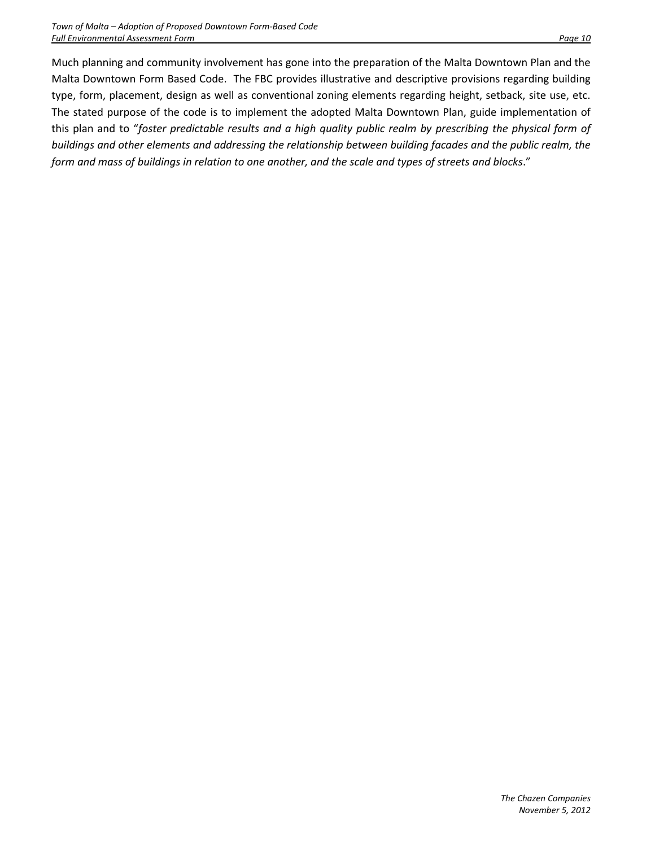Much planning and community involvement has gone into the preparation of the Malta Downtown Plan and the Malta Downtown Form Based Code. The FBC provides illustrative and descriptive provisions regarding building type, form, placement, design as well as conventional zoning elements regarding height, setback, site use, etc. The stated purpose of the code is to implement the adopted Malta Downtown Plan, guide implementation of this plan and to "*foster predictable results and a high quality public realm by prescribing the physical form of buildings and other elements and addressing the relationship between building facades and the public realm, the form and mass of buildings in relation to one another, and the scale and types of streets and blocks*."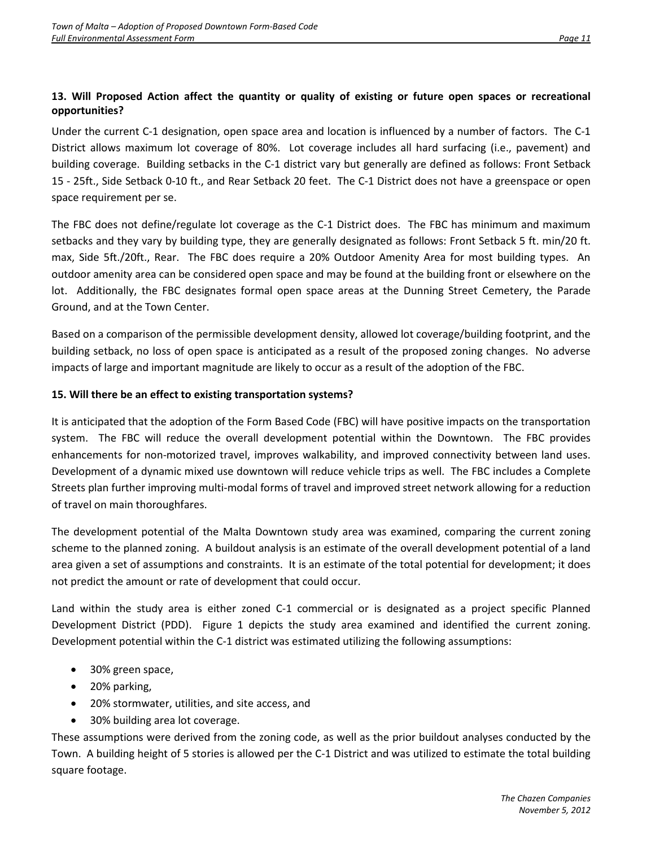#### **13. Will Proposed Action affect the quantity or quality of existing or future open spaces or recreational opportunities?**

Under the current C-1 designation, open space area and location is influenced by a number of factors. The C-1 District allows maximum lot coverage of 80%. Lot coverage includes all hard surfacing (i.e., pavement) and building coverage. Building setbacks in the C-1 district vary but generally are defined as follows: Front Setback 15 - 25ft., Side Setback 0-10 ft., and Rear Setback 20 feet. The C-1 District does not have a greenspace or open space requirement per se.

The FBC does not define/regulate lot coverage as the C-1 District does. The FBC has minimum and maximum setbacks and they vary by building type, they are generally designated as follows: Front Setback 5 ft. min/20 ft. max, Side 5ft./20ft., Rear. The FBC does require a 20% Outdoor Amenity Area for most building types. An outdoor amenity area can be considered open space and may be found at the building front or elsewhere on the lot. Additionally, the FBC designates formal open space areas at the Dunning Street Cemetery, the Parade Ground, and at the Town Center.

Based on a comparison of the permissible development density, allowed lot coverage/building footprint, and the building setback, no loss of open space is anticipated as a result of the proposed zoning changes. No adverse impacts of large and important magnitude are likely to occur as a result of the adoption of the FBC.

#### **15. Will there be an effect to existing transportation systems?**

It is anticipated that the adoption of the Form Based Code (FBC) will have positive impacts on the transportation system. The FBC will reduce the overall development potential within the Downtown. The FBC provides enhancements for non-motorized travel, improves walkability, and improved connectivity between land uses. Development of a dynamic mixed use downtown will reduce vehicle trips as well. The FBC includes a Complete Streets plan further improving multi-modal forms of travel and improved street network allowing for a reduction of travel on main thoroughfares.

The development potential of the Malta Downtown study area was examined, comparing the current zoning scheme to the planned zoning. A buildout analysis is an estimate of the overall development potential of a land area given a set of assumptions and constraints. It is an estimate of the total potential for development; it does not predict the amount or rate of development that could occur.

Land within the study area is either zoned C-1 commercial or is designated as a project specific Planned Development District (PDD). Figure 1 depicts the study area examined and identified the current zoning. Development potential within the C-1 district was estimated utilizing the following assumptions:

- 30% green space,
- 20% parking,
- 20% stormwater, utilities, and site access, and
- 30% building area lot coverage.

These assumptions were derived from the zoning code, as well as the prior buildout analyses conducted by the Town. A building height of 5 stories is allowed per the C-1 District and was utilized to estimate the total building square footage.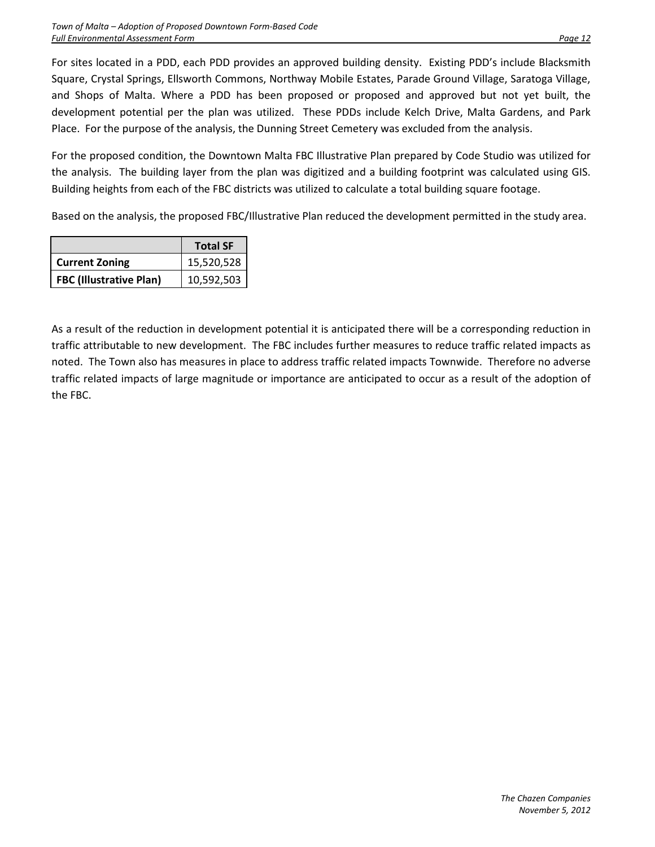For sites located in a PDD, each PDD provides an approved building density. Existing PDD's include Blacksmith Square, Crystal Springs, Ellsworth Commons, Northway Mobile Estates, Parade Ground Village, Saratoga Village, and Shops of Malta. Where a PDD has been proposed or proposed and approved but not yet built, the development potential per the plan was utilized. These PDDs include Kelch Drive, Malta Gardens, and Park Place. For the purpose of the analysis, the Dunning Street Cemetery was excluded from the analysis.

For the proposed condition, the Downtown Malta FBC Illustrative Plan prepared by Code Studio was utilized for the analysis. The building layer from the plan was digitized and a building footprint was calculated using GIS. Building heights from each of the FBC districts was utilized to calculate a total building square footage.

Based on the analysis, the proposed FBC/Illustrative Plan reduced the development permitted in the study area.

|                                | <b>Total SF</b> |
|--------------------------------|-----------------|
| <b>Current Zoning</b>          | 15,520,528      |
| <b>FBC (Illustrative Plan)</b> | 10,592,503      |

As a result of the reduction in development potential it is anticipated there will be a corresponding reduction in traffic attributable to new development. The FBC includes further measures to reduce traffic related impacts as noted. The Town also has measures in place to address traffic related impacts Townwide. Therefore no adverse traffic related impacts of large magnitude or importance are anticipated to occur as a result of the adoption of the FBC.